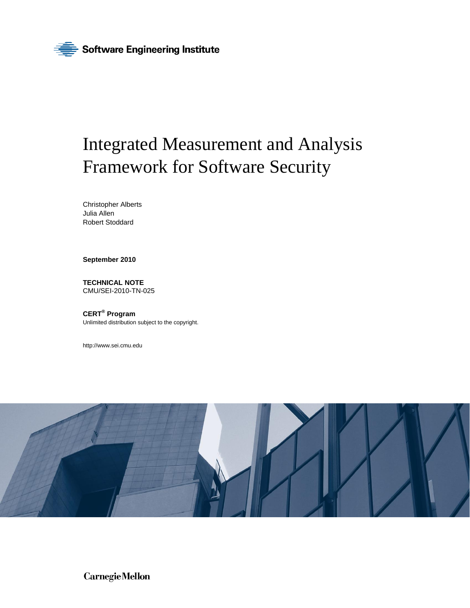

# Integrated Measurement and Analysis Framework for Software Security

Christopher Alberts Julia Allen Robert Stoddard

**September 2010**

**TECHNICAL NOTE** CMU/SEI-2010-TN-025

**CERT® Program** Unlimited distribution subject to the copyright.

<http://www.sei.cmu.edu>



**CarnegieMellon**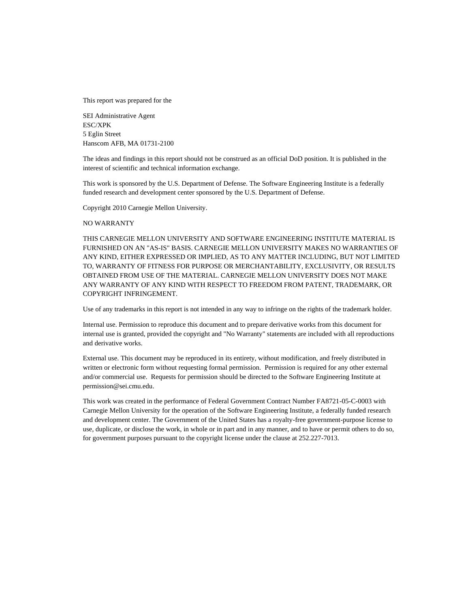This report was prepared for the

SEI Administrative Agent ESC/XPK 5 Eglin Street Hanscom AFB, MA 01731-2100

The ideas and findings in this report should not be construed as an official DoD position. It is published in the interest of scientific and technical information exchange.

This work is sponsored by the U.S. Department of Defense. The Software Engineering Institute is a federally funded research and development center sponsored by the U.S. Department of Defense.

Copyright 2010 Carnegie Mellon University.

#### NO WARRANTY

THIS CARNEGIE MELLON UNIVERSITY AND SOFTWARE ENGINEERING INSTITUTE MATERIAL IS FURNISHED ON AN "AS-IS" BASIS. CARNEGIE MELLON UNIVERSITY MAKES NO WARRANTIES OF ANY KIND, EITHER EXPRESSED OR IMPLIED, AS TO ANY MATTER INCLUDING, BUT NOT LIMITED TO, WARRANTY OF FITNESS FOR PURPOSE OR MERCHANTABILITY, EXCLUSIVITY, OR RESULTS OBTAINED FROM USE OF THE MATERIAL. CARNEGIE MELLON UNIVERSITY DOES NOT MAKE ANY WARRANTY OF ANY KIND WITH RESPECT TO FREEDOM FROM PATENT, TRADEMARK, OR COPYRIGHT INFRINGEMENT.

Use of any trademarks in this report is not intended in any way to infringe on the rights of the trademark holder.

Internal use. Permission to reproduce this document and to prepare derivative works from this document for internal use is granted, provided the copyright and "No Warranty" statements are included with all reproductions and derivative works.

External use. This document may be reproduced in its entirety, without modification, and freely distributed in written or electronic form without requesting formal permission. Permission is required for any other external and/or commercial use. Requests for permission should be directed to the Software Engineering Institute at [permission@sei.cmu.edu.](mailto:permission@sei.cmu.edu)

This work was created in the performance of Federal Government Contract Number FA8721-05-C-0003 with Carnegie Mellon University for the operation of the Software Engineering Institute, a federally funded research and development center. The Government of the United States has a royalty-free government-purpose license to use, duplicate, or disclose the work, in whole or in part and in any manner, and to have or permit others to do so, for government purposes pursuant to the copyright license under the clause at 252.227-7013.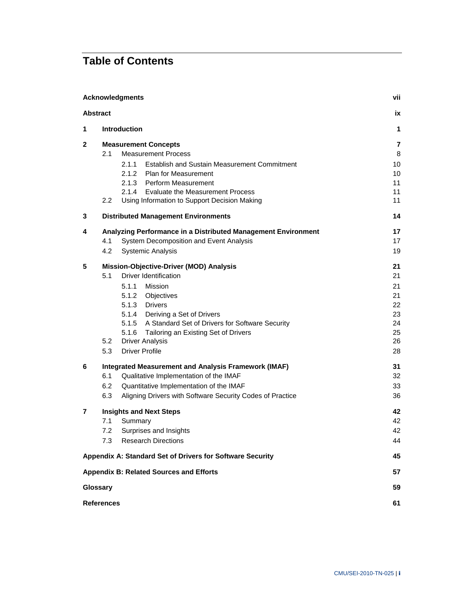# **Table of Contents**

|                   | <b>Acknowledgments</b><br>vii                               |                                                                                                                                      |                |  |  |
|-------------------|-------------------------------------------------------------|--------------------------------------------------------------------------------------------------------------------------------------|----------------|--|--|
|                   | <b>Abstract</b><br>ix                                       |                                                                                                                                      |                |  |  |
| 1                 |                                                             | <b>Introduction</b>                                                                                                                  | 1              |  |  |
| $\mathbf{2}$      | 2.1                                                         | <b>Measurement Concepts</b><br><b>Measurement Process</b><br>Establish and Sustain Measurement Commitment<br>2.1.1                   | 7<br>8<br>10   |  |  |
|                   |                                                             | 2.1.2<br><b>Plan for Measurement</b>                                                                                                 | 10             |  |  |
|                   |                                                             | 2.1.3 Perform Measurement<br><b>Evaluate the Measurement Process</b><br>2.1.4                                                        | 11<br>11       |  |  |
|                   | $2.2^{\circ}$                                               | Using Information to Support Decision Making                                                                                         | 11             |  |  |
| 3                 |                                                             | <b>Distributed Management Environments</b>                                                                                           | 14             |  |  |
| 4                 | 4.1<br>4.2                                                  | Analyzing Performance in a Distributed Management Environment<br>System Decomposition and Event Analysis<br><b>Systemic Analysis</b> | 17<br>17<br>19 |  |  |
| 5                 | 5.1                                                         | Mission-Objective-Driver (MOD) Analysis<br>Driver Identification<br>5.1.1<br>Mission                                                 | 21<br>21<br>21 |  |  |
|                   |                                                             | 5.1.2 Objectives<br>5.1.3 Drivers                                                                                                    | 21<br>22       |  |  |
|                   |                                                             | 5.1.4 Deriving a Set of Drivers                                                                                                      | 23             |  |  |
|                   |                                                             | 5.1.5 A Standard Set of Drivers for Software Security<br>5.1.6                                                                       | 24<br>25       |  |  |
|                   | 5.2                                                         | Tailoring an Existing Set of Drivers<br><b>Driver Analysis</b>                                                                       | 26             |  |  |
|                   | 5.3                                                         | <b>Driver Profile</b>                                                                                                                | 28             |  |  |
| 6                 | <b>Integrated Measurement and Analysis Framework (IMAF)</b> |                                                                                                                                      | 31             |  |  |
|                   | 6.1                                                         | Qualitative Implementation of the IMAF                                                                                               | 32             |  |  |
|                   | 6.2<br>6.3                                                  | Quantitative Implementation of the IMAF<br>Aligning Drivers with Software Security Codes of Practice                                 | 33<br>36       |  |  |
| 7                 | <b>Insights and Next Steps</b>                              |                                                                                                                                      |                |  |  |
|                   | 7.1                                                         | Summary                                                                                                                              | 42             |  |  |
|                   | 7.2                                                         | Surprises and Insights                                                                                                               | 42             |  |  |
|                   |                                                             | <b>Research Directions</b>                                                                                                           | 44<br>45       |  |  |
|                   | Appendix A: Standard Set of Drivers for Software Security   |                                                                                                                                      |                |  |  |
|                   | <b>Appendix B: Related Sources and Efforts</b>              |                                                                                                                                      |                |  |  |
| Glossary          |                                                             |                                                                                                                                      |                |  |  |
| <b>References</b> |                                                             |                                                                                                                                      | 61             |  |  |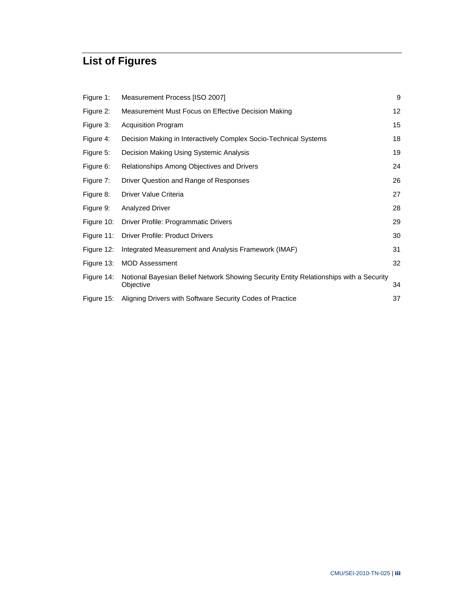# **List of Figures**

| Figure 1:  | Measurement Process [ISO 2007]                                                                      | 9  |
|------------|-----------------------------------------------------------------------------------------------------|----|
| Figure 2:  | Measurement Must Focus on Effective Decision Making                                                 | 12 |
| Figure 3:  | <b>Acquisition Program</b>                                                                          | 15 |
| Figure 4:  | Decision Making in Interactively Complex Socio-Technical Systems                                    | 18 |
| Figure 5:  | Decision Making Using Systemic Analysis                                                             | 19 |
| Figure 6:  | Relationships Among Objectives and Drivers                                                          | 24 |
| Figure 7:  | Driver Question and Range of Responses                                                              | 26 |
| Figure 8:  | Driver Value Criteria                                                                               | 27 |
| Figure 9:  | Analyzed Driver                                                                                     | 28 |
| Figure 10: | Driver Profile: Programmatic Drivers                                                                | 29 |
| Figure 11: | Driver Profile: Product Drivers                                                                     | 30 |
| Figure 12: | Integrated Measurement and Analysis Framework (IMAF)                                                | 31 |
| Figure 13: | <b>MOD Assessment</b>                                                                               | 32 |
| Figure 14: | Notional Bayesian Belief Network Showing Security Entity Relationships with a Security<br>Objective | 34 |
| Figure 15: | Aligning Drivers with Software Security Codes of Practice                                           | 37 |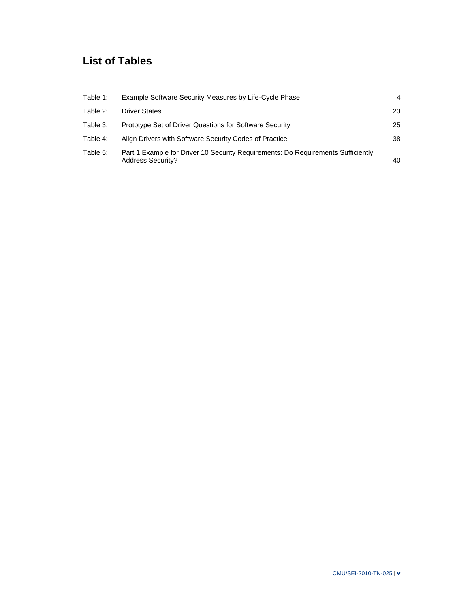# **List of Tables**

| Table 1: | Example Software Security Measures by Life-Cycle Phase                                                       | 4  |
|----------|--------------------------------------------------------------------------------------------------------------|----|
| Table 2: | <b>Driver States</b>                                                                                         | 23 |
| Table 3: | Prototype Set of Driver Questions for Software Security                                                      | 25 |
| Table 4: | Align Drivers with Software Security Codes of Practice                                                       | 38 |
| Table 5: | Part 1 Example for Driver 10 Security Requirements: Do Requirements Sufficiently<br><b>Address Security?</b> | 40 |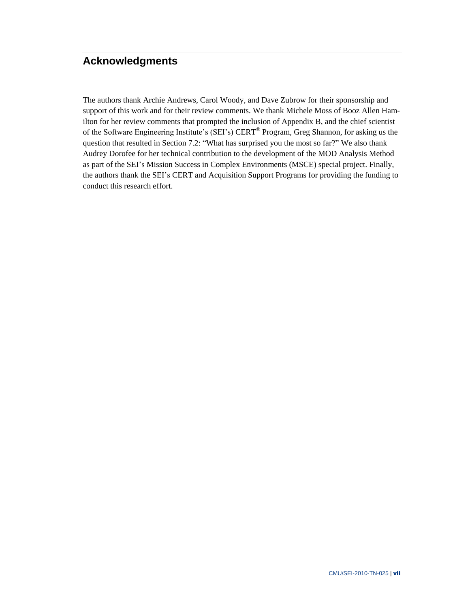# <span id="page-8-0"></span>**Acknowledgments**

The authors thank Archie Andrews, Carol Woody, and Dave Zubrow for their sponsorship and support of this work and for their review comments. We thank Michele Moss of Booz Allen Hamilton for her review comments that prompted the inclusion of Appendix B, and the chief scientist of the Software Engineering Institute's (SEI's) CERT<sup>®</sup> Program, Greg Shannon, for asking us the question that resulted in Section 7.2: "What has surprised you the most so far?" We also thank Audrey Dorofee for her technical contribution to the development of the MOD Analysis Method as part of the SEI's Mission Success in Complex Environments (MSCE) special project. Finally, the authors thank the SEI's CERT and Acquisition Support Programs for providing the funding to conduct this research effort.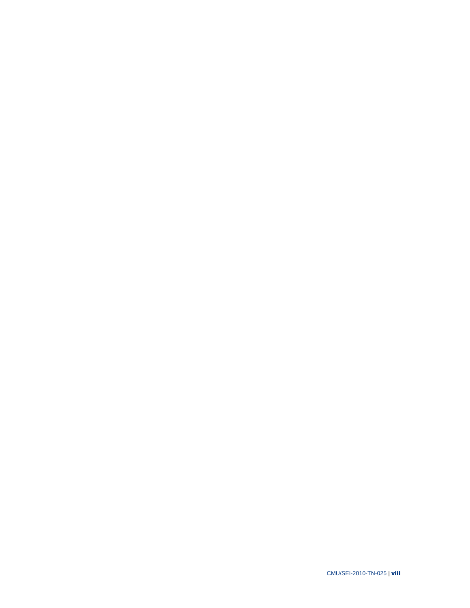CMU/SEI-2010-TN-025 | viii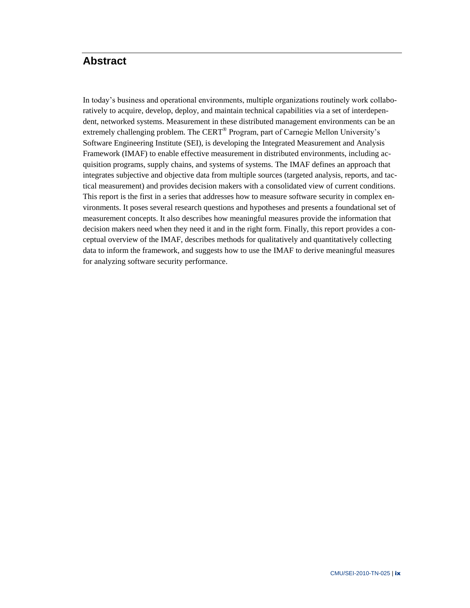### <span id="page-10-0"></span>**Abstract**

In today's business and operational environments, multiple organizations routinely work collaboratively to acquire, develop, deploy, and maintain technical capabilities via a set of interdependent, networked systems. Measurement in these distributed management environments can be an extremely challenging problem. The  $CERT^{\circledast}$  Program, part of Carnegie Mellon University's Software Engineering Institute (SEI), is developing the Integrated Measurement and Analysis Framework (IMAF) to enable effective measurement in distributed environments, including acquisition programs, supply chains, and systems of systems. The IMAF defines an approach that integrates subjective and objective data from multiple sources (targeted analysis, reports, and tactical measurement) and provides decision makers with a consolidated view of current conditions. This report is the first in a series that addresses how to measure software security in complex environments. It poses several research questions and hypotheses and presents a foundational set of measurement concepts. It also describes how meaningful measures provide the information that decision makers need when they need it and in the right form. Finally, this report provides a conceptual overview of the IMAF, describes methods for qualitatively and quantitatively collecting data to inform the framework, and suggests how to use the IMAF to derive meaningful measures for analyzing software security performance.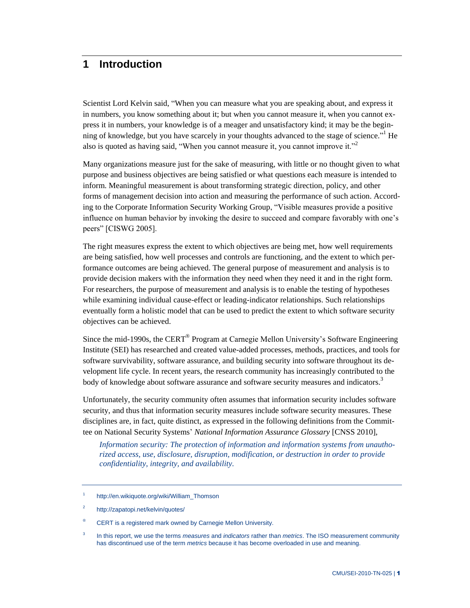### <span id="page-12-0"></span>**1 Introduction**

Scientist Lord Kelvin said, "When you can measure what you are speaking about, and express it in numbers, you know something about it; but when you cannot measure it, when you cannot express it in numbers, your knowledge is of a meager and unsatisfactory kind; it may be the beginning of knowledge, but you have scarcely in your thoughts advanced to the stage of science."<sup>1</sup> He also is quoted as having said, "When you cannot measure it, you cannot improve it."<sup>2</sup>

Many organizations measure just for the sake of measuring, with little or no thought given to what purpose and business objectives are being satisfied or what questions each measure is intended to inform. Meaningful measurement is about transforming strategic direction, policy, and other forms of management decision into action and measuring the performance of such action. According to the Corporate Information Security Working Group, "Visible measures provide a positive influence on human behavior by invoking the desire to succeed and compare favorably with one's peers" [CISWG 2005].

The right measures express the extent to which objectives are being met, how well requirements are being satisfied, how well processes and controls are functioning, and the extent to which performance outcomes are being achieved. The general purpose of measurement and analysis is to provide decision makers with the information they need when they need it and in the right form. For researchers, the purpose of measurement and analysis is to enable the testing of hypotheses while examining individual cause-effect or leading-indicator relationships. Such relationships eventually form a holistic model that can be used to predict the extent to which software security objectives can be achieved.

Since the mid-1990s, the CERT<sup>®</sup> Program at Carnegie Mellon University's Software Engineering Institute (SEI) has researched and created value-added processes, methods, practices, and tools for software survivability, software assurance, and building security into software throughout its development life cycle. In recent years, the research community has increasingly contributed to the body of knowledge about software assurance and software security measures and indicators.<sup>3</sup>

Unfortunately, the security community often assumes that information security includes software security, and thus that information security measures include software security measures. These disciplines are, in fact, quite distinct, as expressed in the following definitions from the Committee on National Security Systems' *National Information Assurance Glossary* [CNSS 2010],

*Information security: The protection of information and information systems from unauthorized access, use, disclosure, disruption, modification, or destruction in order to provide confidentiality, integrity, and availability.* 

<sup>1</sup> [http://en.wikiquote.org/wiki/William\\_Thomson](http://en.wikiquote.org/wiki/William_Thomson)

<sup>2</sup> <http://zapatopi.net/kelvin/quotes/>

<sup>®</sup> CERT is a registered mark owned by Carnegie Mellon University.

<sup>3</sup> In this report, we use the terms *measures* and *indicators* rather than *metrics*. The ISO measurement community has discontinued use of the term *metrics* because it has become overloaded in use and meaning.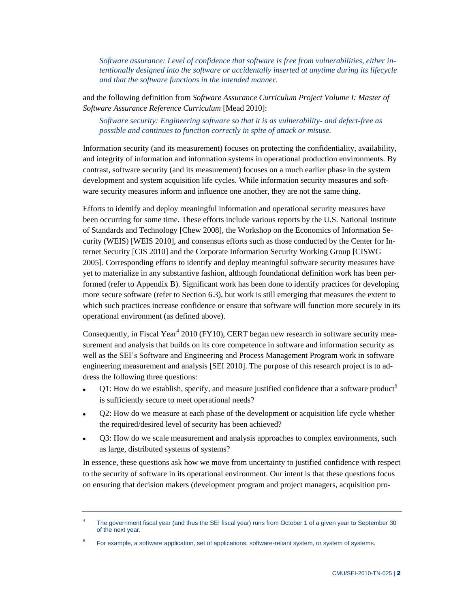*Software assurance: Level of confidence that software is free from vulnerabilities, either intentionally designed into the software or accidentally inserted at anytime during its lifecycle and that the software functions in the intended manner.* 

and the following definition from *Software Assurance Curriculum Project Volume I: Master of Software Assurance Reference Curriculum* [Mead 2010]:

*Software security: Engineering software so that it is as vulnerability- and defect-free as possible and continues to function correctly in spite of attack or misuse.*

Information security (and its measurement) focuses on protecting the confidentiality, availability, and integrity of information and information systems in operational production environments. By contrast, software security (and its measurement) focuses on a much earlier phase in the system development and system acquisition life cycles. While information security measures and software security measures inform and influence one another, they are not the same thing.

Efforts to identify and deploy meaningful information and operational security measures have been occurring for some time. These efforts include various reports by the U.S. National Institute of Standards and Technology [Chew 2008], the Workshop on the Economics of Information Security (WEIS) [WEIS 2010], and consensus efforts such as those conducted by the Center for Internet Security [CIS 2010] and the Corporate Information Security Working Group [CISWG 2005]. Corresponding efforts to identify and deploy meaningful software security measures have yet to materialize in any substantive fashion, although foundational definition work has been performed (refer to Appendix B). Significant work has been done to identify practices for developing more secure software (refer to Section 6.3), but work is still emerging that measures the extent to which such practices increase confidence or ensure that software will function more securely in its operational environment (as defined above).

Consequently, in Fiscal Year<sup>4</sup> 2010 (FY10), CERT began new research in software security measurement and analysis that builds on its core competence in software and information security as well as the SEI's Software and Engineering and Process Management Program work in software engineering measurement and analysis [SEI 2010]. The purpose of this research project is to address the following three questions:

- $\bullet$  $Q1$ : How do we establish, specify, and measure justified confidence that a software product<sup>5</sup> is sufficiently secure to meet operational needs?
- Q2: How do we measure at each phase of the development or acquisition life cycle whether  $\bullet$ the required/desired level of security has been achieved?
- Q3: How do we scale measurement and analysis approaches to complex environments, such as large, distributed systems of systems?

In essence, these questions ask how we move from uncertainty to justified confidence with respect to the security of software in its operational environment. Our intent is that these questions focus on ensuring that decision makers (development program and project managers, acquisition pro-

<sup>4</sup> The government fiscal year (and thus the SEI fiscal year) runs from October 1 of a given year to September 30 of the next year.

<sup>5</sup> For example, a software application, set of applications, software-reliant system, or system of systems.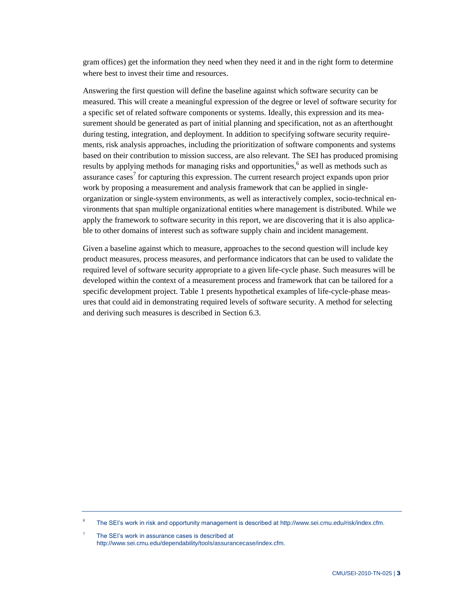gram offices) get the information they need when they need it and in the right form to determine where best to invest their time and resources.

Answering the first question will define the baseline against which software security can be measured. This will create a meaningful expression of the degree or level of software security for a specific set of related software components or systems. Ideally, this expression and its measurement should be generated as part of initial planning and specification, not as an afterthought during testing, integration, and deployment. In addition to specifying software security requirements, risk analysis approaches, including the prioritization of software components and systems based on their contribution to mission success, are also relevant. The SEI has produced promising results by applying methods for managing risks and opportunities,  $6$  as well as methods such as assurance cases<sup>7</sup> for capturing this expression. The current research project expands upon prior work by proposing a measurement and analysis framework that can be applied in singleorganization or single-system environments, as well as interactively complex, socio-technical environments that span multiple organizational entities where management is distributed. While we apply the framework to software security in this report, we are discovering that it is also applicable to other domains of interest such as software supply chain and incident management.

Given a baseline against which to measure, approaches to the second question will include key product measures, process measures, and performance indicators that can be used to validate the required level of software security appropriate to a given life-cycle phase. Such measures will be developed within the context of a measurement process and framework that can be tailored for a specific development project. [Table 1](#page-15-0) presents hypothetical examples of life-cycle-phase measures that could aid in demonstrating required levels of software security. A method for selecting and deriving such measures is described in Section 6.3.

<sup>6</sup> The SEI's work in risk and opportunity management is described at [http://www.sei.cmu.edu/risk/index.cfm.](http://www.sei.cmu.edu/risk/index.cfm)

<sup>7</sup> The SEI's work in assurance cases is described at [http://www.sei.cmu.edu/dependability/tools/assurancecase/index.cfm.](http://www.sei.cmu.edu/dependability/tools/assurancecase/index.cfm)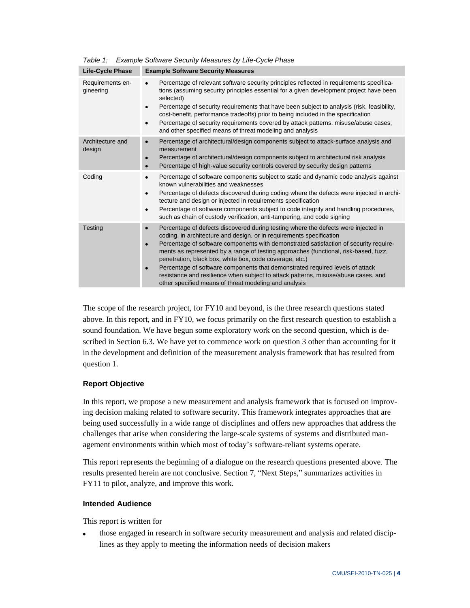| Life-Cycle Phase              | <b>Example Software Security Measures</b>                                                                                                                                                                                                                                                                                                                                                                                                                                                                                                                                                                                                                                     |  |  |  |
|-------------------------------|-------------------------------------------------------------------------------------------------------------------------------------------------------------------------------------------------------------------------------------------------------------------------------------------------------------------------------------------------------------------------------------------------------------------------------------------------------------------------------------------------------------------------------------------------------------------------------------------------------------------------------------------------------------------------------|--|--|--|
| Requirements en-<br>gineering | Percentage of relevant software security principles reflected in requirements specifica-<br>$\bullet$<br>tions (assuming security principles essential for a given development project have been<br>selected)<br>Percentage of security requirements that have been subject to analysis (risk, feasibility,<br>$\bullet$<br>cost-benefit, performance tradeoffs) prior to being included in the specification<br>Percentage of security requirements covered by attack patterns, misuse/abuse cases,<br>$\bullet$<br>and other specified means of threat modeling and analysis                                                                                                |  |  |  |
| Architecture and<br>design    | Percentage of architectural/design components subject to attack-surface analysis and<br>$\bullet$<br>measurement<br>Percentage of architectural/design components subject to architectural risk analysis<br>$\bullet$<br>Percentage of high-value security controls covered by security design patterns<br>$\bullet$                                                                                                                                                                                                                                                                                                                                                          |  |  |  |
| Coding                        | Percentage of software components subject to static and dynamic code analysis against<br>٠<br>known vulnerabilities and weaknesses<br>Percentage of defects discovered during coding where the defects were injected in archi-<br>$\bullet$<br>tecture and design or injected in requirements specification<br>Percentage of software components subject to code integrity and handling procedures,<br>$\bullet$<br>such as chain of custody verification, anti-tampering, and code signing                                                                                                                                                                                   |  |  |  |
| Testing                       | Percentage of defects discovered during testing where the defects were injected in<br>$\bullet$<br>coding, in architecture and design, or in requirements specification<br>Percentage of software components with demonstrated satisfaction of security require-<br>$\bullet$<br>ments as represented by a range of testing approaches (functional, risk-based, fuzz,<br>penetration, black box, white box, code coverage, etc.)<br>Percentage of software components that demonstrated required levels of attack<br>$\bullet$<br>resistance and resilience when subject to attack patterns, misuse/abuse cases, and<br>other specified means of threat modeling and analysis |  |  |  |

<span id="page-15-0"></span>*Table 1: Example Software Security Measures by Life-Cycle Phase*

The scope of the research project, for FY10 and beyond, is the three research questions stated above. In this report, and in FY10, we focus primarily on the first research question to establish a sound foundation. We have begun some exploratory work on the second question, which is described in Section 6.3. We have yet to commence work on question 3 other than accounting for it in the development and definition of the measurement analysis framework that has resulted from question 1.

#### **Report Objective**

In this report, we propose a new measurement and analysis framework that is focused on improving decision making related to software security. This framework integrates approaches that are being used successfully in a wide range of disciplines and offers new approaches that address the challenges that arise when considering the large-scale systems of systems and distributed management environments within which most of today's software-reliant systems operate.

This report represents the beginning of a dialogue on the research questions presented above. The results presented herein are not conclusive. Section 7, "Next Steps," summarizes activities in FY11 to pilot, analyze, and improve this work.

#### **Intended Audience**

This report is written for

those engaged in research in software security measurement and analysis and related discip- $\bullet$ lines as they apply to meeting the information needs of decision makers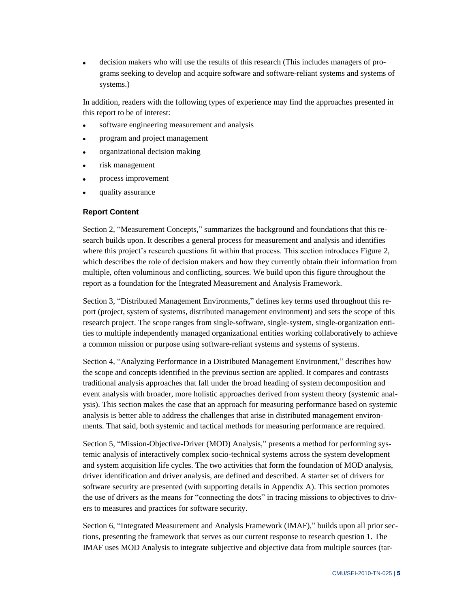$\bullet$ decision makers who will use the results of this research (This includes managers of programs seeking to develop and acquire software and software-reliant systems and systems of systems.)

In addition, readers with the following types of experience may find the approaches presented in this report to be of interest:

- software engineering measurement and analysis  $\bullet$
- program and project management
- organizational decision making  $\bullet$
- risk management  $\ddot{\phantom{a}}$
- process improvement
- quality assurance  $\bullet$

#### **Report Content**

Section [2,](#page-18-0) "Measurement Concepts," summarizes the background and foundations that this research builds upon. It describes a general process for measurement and analysis and identifies where this project's research questions fit within that process. This section introduces [Figure 2,](#page-23-0) which describes the role of decision makers and how they currently obtain their information from multiple, often voluminous and conflicting, sources. We build upon this figure throughout the report as a foundation for the Integrated Measurement and Analysis Framework.

Section [3,](#page-25-0) "Distributed Management Environments," defines key terms used throughout this report (project, system of systems, distributed management environment) and sets the scope of this research project. The scope ranges from single-software, single-system, single-organization entities to multiple independently managed organizational entities working collaboratively to achieve a common mission or purpose using software-reliant systems and systems of systems.

Section [4,](#page-28-0) "Analyzing Performance in a Distributed Management Environment," describes how the scope and concepts identified in the previous section are applied. It compares and contrasts traditional analysis approaches that fall under the broad heading of system decomposition and event analysis with broader, more holistic approaches derived from system theory (systemic analysis). This section makes the case that an approach for measuring performance based on systemic analysis is better able to address the challenges that arise in distributed management environments. That said, both systemic and tactical methods for measuring performance are required.

Section [5,](#page-32-0) "Mission-Objective-Driver (MOD) Analysis," presents a method for performing systemic analysis of interactively complex socio-technical systems across the system development and system acquisition life cycles. The two activities that form the foundation of MOD analysis, driver identification and driver analysis, are defined and described. A starter set of drivers for software security are presented (with supporting details in Appendix A). This section promotes the use of drivers as the means for "connecting the dots" in tracing missions to objectives to drivers to measures and practices for software security.

Section [6,](#page-42-0) "Integrated Measurement and Analysis Framework (IMAF)," builds upon all prior sections, presenting the framework that serves as our current response to research question 1. The IMAF uses MOD Analysis to integrate subjective and objective data from multiple sources (tar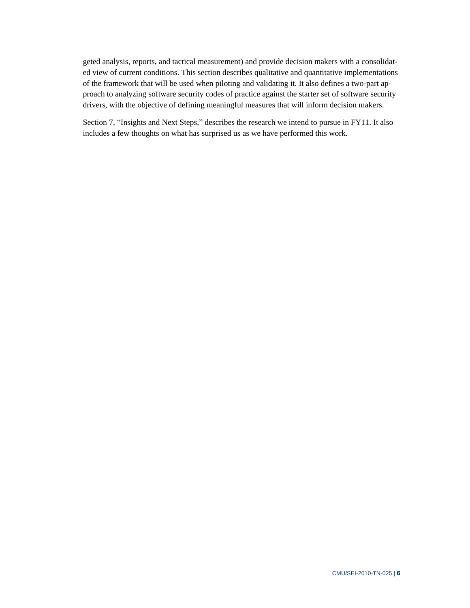geted analysis, reports, and tactical measurement) and provide decision makers with a consolidated view of current conditions. This section describes qualitative and quantitative implementations of the framework that will be used when piloting and validating it. It also defines a two-part approach to analyzing software security codes of practice against the starter set of software security drivers, with the objective of defining meaningful measures that will inform decision makers.

Section [7,](#page-53-0) "Insights and Next Steps," describes the research we intend to pursue in FY11. It also includes a few thoughts on what has surprised us as we have performed this work.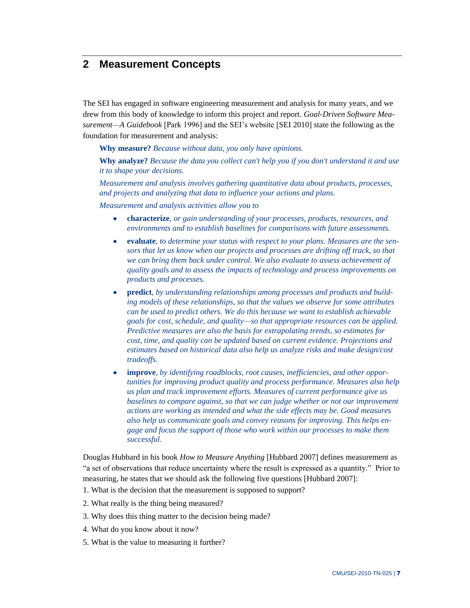### <span id="page-18-0"></span>**2 Measurement Concepts**

The SEI has engaged in software engineering measurement and analysis for many years, and we drew from this body of knowledge to inform this project and report. *Goal-Driven Software Measurement—A Guidebook* [Park 1996] and the SEI's website [SEI 2010] state the following as the foundation for measurement and analysis:

**Why measure?** *Because without data, you only have opinions.*

**Why analyze?** *Because the data you collect can't help you if you don't understand it and use it to shape your decisions.*

*Measurement and analysis involves gathering quantitative data about products, processes, and projects and analyzing that data to influence your actions and plans.* 

*Measurement and analysis activities allow you to*

- **characterize***, or gain understanding of your processes, products, resources, and environments and to establish baselines for comparisons with future assessments.*
- **evaluate***, to determine your status with respect to your plans. Measures are the sensors that let us know when our projects and processes are drifting off track, so that we can bring them back under control. We also evaluate to assess achievement of quality goals and to assess the impacts of technology and process improvements on products and processes.*
- **predict***, by understanding relationships among processes and products and building models of these relationships, so that the values we observe for some attributes can be used to predict others. We do this because we want to establish achievable goals for cost, schedule, and quality—so that appropriate resources can be applied. Predictive measures are also the basis for extrapolating trends, so estimates for cost, time, and quality can be updated based on current evidence. Projections and estimates based on historical data also help us analyze risks and make design/cost tradeoffs.*
- **improve***, by identifying roadblocks, root causes, inefficiencies, and other opportunities for improving product quality and process performance. Measures also help us plan and track improvement efforts. Measures of current performance give us baselines to compare against, so that we can judge whether or not our improvement actions are working as intended and what the side effects may be. Good measures also help us communicate goals and convey reasons for improving. This helps engage and focus the support of those who work within our processes to make them successful.*

Douglas Hubbard in his book *How to Measure Anything* [Hubbard 2007] defines measurement as "a set of observations that reduce uncertainty where the result is expressed as a quantity." Prior to measuring, he states that we should ask the following five questions [Hubbard 2007]:

- 1. What is the decision that the measurement is supposed to support?
- 2. What really is the thing being measured?
- 3. Why does this thing matter to the decision being made?
- 4. What do you know about it now?
- 5. What is the value to measuring it further?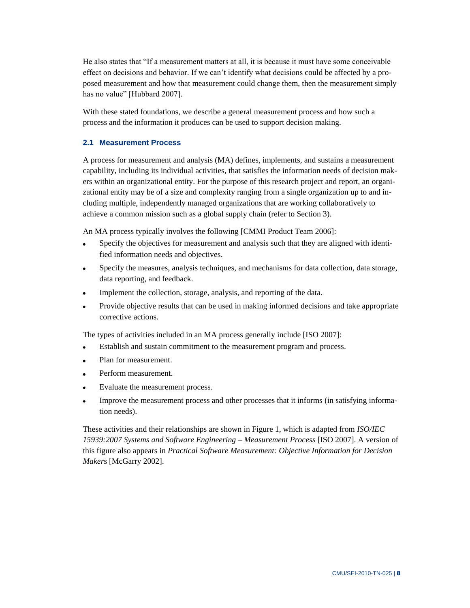He also states that "If a measurement matters at all, it is because it must have some conceivable effect on decisions and behavior. If we can't identify what decisions could be affected by a proposed measurement and how that measurement could change them, then the measurement simply has no value" [Hubbard 2007].

With these stated foundations, we describe a general measurement process and how such a process and the information it produces can be used to support decision making.

#### <span id="page-19-0"></span>**2.1 Measurement Process**

A process for measurement and analysis (MA) defines, implements, and sustains a measurement capability, including its individual activities, that satisfies the information needs of decision makers within an organizational entity. For the purpose of this research project and report, an organizational entity may be of a size and complexity ranging from a single organization up to and including multiple, independently managed organizations that are working collaboratively to achieve a common mission such as a global supply chain (refer to Section 3).

An MA process typically involves the following [CMMI Product Team 2006]:

- Specify the objectives for measurement and analysis such that they are aligned with identi- $\blacksquare$ fied information needs and objectives.
- Specify the measures, analysis techniques, and mechanisms for data collection, data storage,  $\bullet$ data reporting, and feedback.
- Implement the collection, storage, analysis, and reporting of the data.  $\bullet$
- Provide objective results that can be used in making informed decisions and take appropriate  $\bullet$ corrective actions.

The types of activities included in an MA process generally include [ISO 2007]:

- Establish and sustain commitment to the measurement program and process.  $\bullet$
- Plan for measurement.  $\bullet$
- Perform measurement.  $\bullet$
- $\bullet$ Evaluate the measurement process.
- Improve the measurement process and other processes that it informs (in satisfying informa- $\bullet$ tion needs).

These activities and their relationships are shown in Figure 1, which is adapted from *ISO/IEC 15939:2007 Systems and Software Engineering – Measurement Process* [ISO 2007]. A version of this figure also appears in *Practical Software Measurement: Objective Information for Decision Maker*s [McGarry 2002].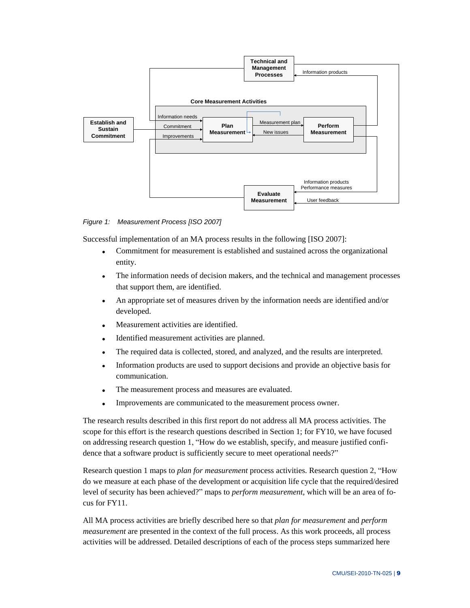

<span id="page-20-0"></span>*Figure 1: Measurement Process [ISO 2007]*

Successful implementation of an MA process results in the following [ISO 2007]:

- Commitment for measurement is established and sustained across the organizational entity.
- The information needs of decision makers, and the technical and management processes that support them, are identified.
- An appropriate set of measures driven by the information needs are identified and/or developed.
- Measurement activities are identified.
- Identified measurement activities are planned.
- The required data is collected, stored, and analyzed, and the results are interpreted.
- Information products are used to support decisions and provide an objective basis for communication.
- The measurement process and measures are evaluated.
- Improvements are communicated to the measurement process owner.  $\bullet$

The research results described in this first report do not address all MA process activities. The scope for this effort is the research questions described in Section 1; for FY10, we have focused on addressing research question 1, "How do we establish, specify, and measure justified confidence that a software product is sufficiently secure to meet operational needs?"

Research question 1 maps to *plan for measurement* process activities. Research question 2, "How do we measure at each phase of the development or acquisition life cycle that the required/desired level of security has been achieved?" maps to *perform measurement*, which will be an area of focus for FY11.

All MA process activities are briefly described here so that *plan for measurement* and *perform measurement* are presented in the context of the full process. As this work proceeds, all process activities will be addressed. Detailed descriptions of each of the process steps summarized here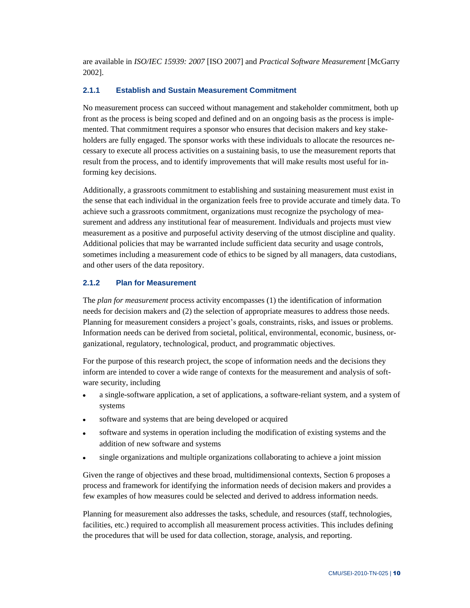are available in *ISO/IEC 15939: 2007* [ISO 2007] and *Practical Software Measurement* [McGarry 2002].

#### <span id="page-21-0"></span>**2.1.1 Establish and Sustain Measurement Commitment**

No measurement process can succeed without management and stakeholder commitment, both up front as the process is being scoped and defined and on an ongoing basis as the process is implemented. That commitment requires a sponsor who ensures that decision makers and key stakeholders are fully engaged. The sponsor works with these individuals to allocate the resources necessary to execute all process activities on a sustaining basis, to use the measurement reports that result from the process, and to identify improvements that will make results most useful for informing key decisions.

Additionally, a grassroots commitment to establishing and sustaining measurement must exist in the sense that each individual in the organization feels free to provide accurate and timely data. To achieve such a grassroots commitment, organizations must recognize the psychology of measurement and address any institutional fear of measurement. Individuals and projects must view measurement as a positive and purposeful activity deserving of the utmost discipline and quality. Additional policies that may be warranted include sufficient data security and usage controls, sometimes including a measurement code of ethics to be signed by all managers, data custodians, and other users of the data repository.

#### <span id="page-21-1"></span>**2.1.2 Plan for Measurement**

The *plan for measurement* process activity encompasses (1) the identification of information needs for decision makers and (2) the selection of appropriate measures to address those needs. Planning for measurement considers a project's goals, constraints, risks, and issues or problems. Information needs can be derived from societal, political, environmental, economic, business, organizational, regulatory, technological, product, and programmatic objectives.

For the purpose of this research project, the scope of information needs and the decisions they inform are intended to cover a wide range of contexts for the measurement and analysis of software security, including

- a single-software application, a set of applications, a software-reliant system, and a system of  $\bullet$ systems
- software and systems that are being developed or acquired  $\bullet$
- software and systems in operation including the modification of existing systems and the  $\bullet$ addition of new software and systems
- single organizations and multiple organizations collaborating to achieve a joint mission  $\bullet$

Given the range of objectives and these broad, multidimensional contexts, Section 6 proposes a process and framework for identifying the information needs of decision makers and provides a few examples of how measures could be selected and derived to address information needs.

Planning for measurement also addresses the tasks, schedule, and resources (staff, technologies, facilities, etc.) required to accomplish all measurement process activities. This includes defining the procedures that will be used for data collection, storage, analysis, and reporting.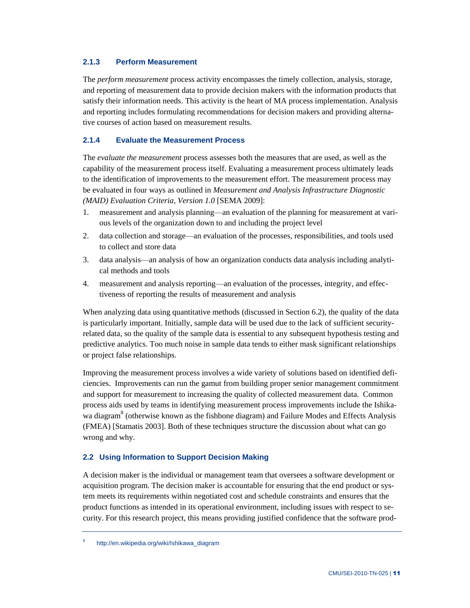#### <span id="page-22-0"></span>**2.1.3 Perform Measurement**

The *perform measurement* process activity encompasses the timely collection, analysis, storage, and reporting of measurement data to provide decision makers with the information products that satisfy their information needs. This activity is the heart of MA process implementation. Analysis and reporting includes formulating recommendations for decision makers and providing alternative courses of action based on measurement results.

#### <span id="page-22-1"></span>**2.1.4 Evaluate the Measurement Process**

The *evaluate the measurement* process assesses both the measures that are used, as well as the capability of the measurement process itself. Evaluating a measurement process ultimately leads to the identification of improvements to the measurement effort. The measurement process may be evaluated in four ways as outlined in *Measurement and Analysis Infrastructure Diagnostic (MAID) Evaluation Criteria, Version 1.0* [SEMA 2009]:

- 1. measurement and analysis planning—an evaluation of the planning for measurement at various levels of the organization down to and including the project level
- 2. data collection and storage—an evaluation of the processes, responsibilities, and tools used to collect and store data
- 3. data analysis—an analysis of how an organization conducts data analysis including analytical methods and tools
- 4. measurement and analysis reporting—an evaluation of the processes, integrity, and effectiveness of reporting the results of measurement and analysis

When analyzing data using quantitative methods (discussed in Section 6.2), the quality of the data is particularly important. Initially, sample data will be used due to the lack of sufficient securityrelated data, so the quality of the sample data is essential to any subsequent hypothesis testing and predictive analytics. Too much noise in sample data tends to either mask significant relationships or project false relationships.

Improving the measurement process involves a wide variety of solutions based on identified deficiencies. Improvements can run the gamut from building proper senior management commitment and support for measurement to increasing the quality of collected measurement data. Common process aids used by teams in identifying measurement process improvements include the Ishikawa diagram<sup>8</sup> (otherwise known as the fishbone diagram) and Failure Modes and Effects Analysis (FMEA) [Stamatis 2003]. Both of these techniques structure the discussion about what can go wrong and why.

#### <span id="page-22-2"></span>**2.2 Using Information to Support Decision Making**

A decision maker is the individual or management team that oversees a software development or acquisition program. The decision maker is accountable for ensuring that the end product or system meets its requirements within negotiated cost and schedule constraints and ensures that the product functions as intended in its operational environment, including issues with respect to security. For this research project, this means providing justified confidence that the software prod-

<sup>8</sup> [http://en.wikipedia.org/wiki/Ishikawa\\_diagram](http://en.wikipedia.org/wiki/Ishikawa_diagram)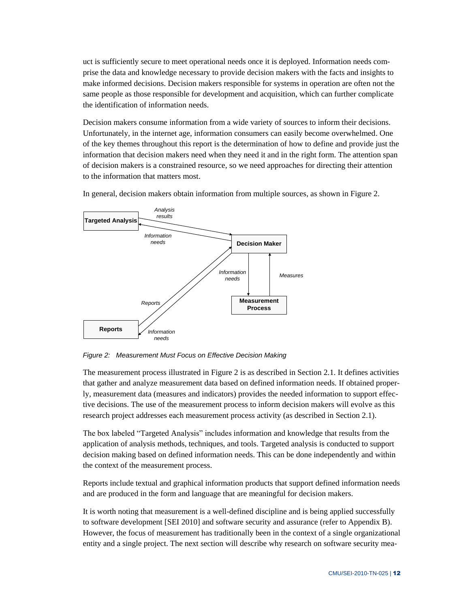uct is sufficiently secure to meet operational needs once it is deployed. Information needs comprise the data and knowledge necessary to provide decision makers with the facts and insights to make informed decisions. Decision makers responsible for systems in operation are often not the same people as those responsible for development and acquisition, which can further complicate the identification of information needs.

Decision makers consume information from a wide variety of sources to inform their decisions. Unfortunately, in the internet age, information consumers can easily become overwhelmed. One of the key themes throughout this report is the determination of how to define and provide just the information that decision makers need when they need it and in the right form. The attention span of decision makers is a constrained resource, so we need approaches for directing their attention to the information that matters most.

In general, decision makers obtain information from multiple sources, as shown i[n Figure 2.](#page-23-0)



<span id="page-23-0"></span>*Figure 2: Measurement Must Focus on Effective Decision Making*

The measurement process illustrated in Figure 2 is as described in Section 2.1. It defines activities that gather and analyze measurement data based on defined information needs. If obtained properly, measurement data (measures and indicators) provides the needed information to support effective decisions. The use of the measurement process to inform decision makers will evolve as this research project addresses each measurement process activity (as described in Section 2.1).

The box labeled "Targeted Analysis" includes information and knowledge that results from the application of analysis methods, techniques, and tools. Targeted analysis is conducted to support decision making based on defined information needs. This can be done independently and within the context of the measurement process.

Reports include textual and graphical information products that support defined information needs and are produced in the form and language that are meaningful for decision makers.

It is worth noting that measurement is a well-defined discipline and is being applied successfully to software development [SEI 2010] and software security and assurance (refer to Appendix B). However, the focus of measurement has traditionally been in the context of a single organizational entity and a single project. The next section will describe why research on software security mea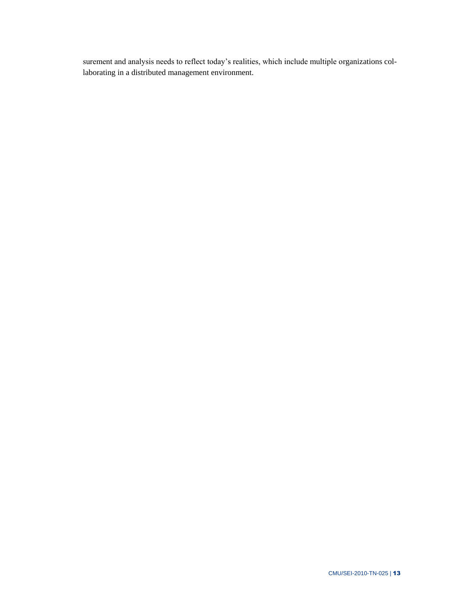surement and analysis needs to reflect today's realities, which include multiple organizations collaborating in a distributed management environment.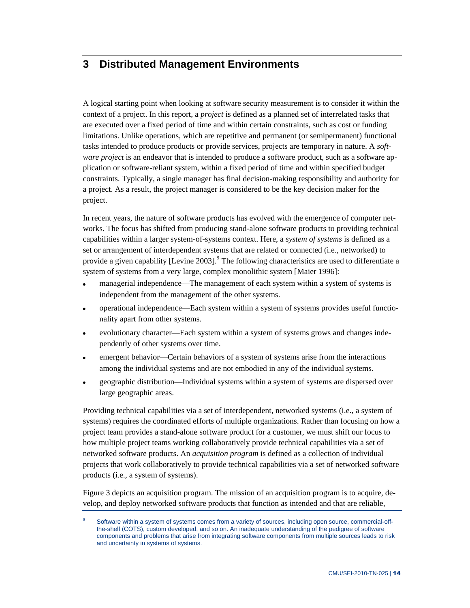## <span id="page-25-0"></span>**3 Distributed Management Environments**

A logical starting point when looking at software security measurement is to consider it within the context of a project. In this report, a *project* is defined as a planned set of interrelated [tasks](http://www.businessdictionary.com/definition/task.html) that are [executed](http://www.businessdictionary.com/definition/executed.html) over a fixed [period](http://www.investorwords.com/3669/period.html) of time and within certain constraints, such as cost or funding limitations. Unlike operations, which are repetitive and permanent (or semipermanent) functional tasks intended to produce products or provide services, projects are temporary in nature. A *software project* is an endeavor that is intended to produce a software product, such as a software application or software-reliant system, within a fixed [period](http://www.investorwords.com/3669/period.html) of time and within specified budget constraints. Typically, a single manager has final decision-making responsibility and authority for a project. As a result, the project manager is considered to be the key decision maker for the project.

In recent years, the nature of software products has evolved with the emergence of computer networks. The focus has shifted from producing stand-alone software products to providing technical capabilities within a larger system-of-systems context. Here, a *system of systems* is defined as a set or arrangement of interdependent systems that are related or connected (i.e., networked) to provide a given capability [Levine 2003].<sup>9</sup> The following characteristics are used to differentiate a system of systems from a very large, complex monolithic system [Maier 1996]:

- managerial independence—The management of each system within a system of systems is independent from the management of the other systems.
- $\bullet$ operational independence—Each system within a system of systems provides useful functionality apart from other systems.
- evolutionary character—Each system within a system of systems grows and changes independently of other systems over time.
- emergent behavior—Certain behaviors of a system of systems arise from the interactions  $\bullet$ among the individual systems and are not embodied in any of the individual systems.
- geographic distribution—Individual systems within a system of systems are dispersed over large geographic areas.

Providing technical capabilities via a set of interdependent, networked systems (i.e., a system of systems) requires the coordinated efforts of multiple organizations. Rather than focusing on how a project team provides a stand-alone software product for a customer, we must shift our focus to how multiple project teams working collaboratively provide technical capabilities via a set of networked software products. An *acquisition program* is defined as a collection of individual projects that work collaboratively to provide technical capabilities via a set of networked software products (i.e., a system of systems).

[Figure 3](#page-26-0) depicts an acquisition program. The mission of an acquisition program is to acquire, develop, and deploy networked software products that function as intended and that are reliable,

<sup>9</sup> Software within a system of systems comes from a variety of sources, including open source, commercial-offthe-shelf (COTS), custom developed, and so on. An inadequate understanding of the pedigree of software components and problems that arise from integrating software components from multiple sources leads to risk and uncertainty in systems of systems.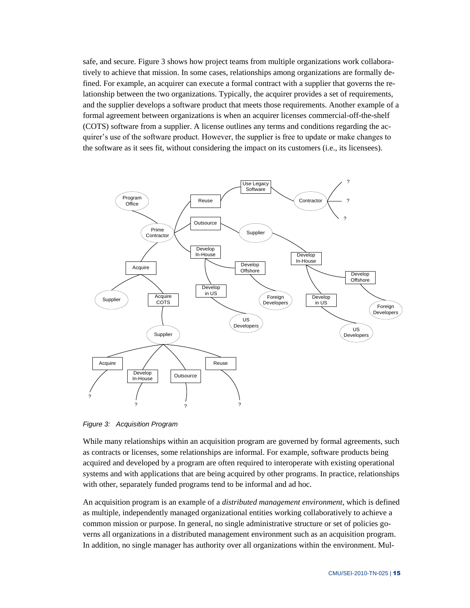safe, and secure. [Figure 3](#page-26-0) shows how project teams from multiple organizations work collaboratively to achieve that mission. In some cases, relationships among organizations are formally defined. For example, an acquirer can execute a formal contract with a supplier that governs the relationship between the two organizations. Typically, the acquirer provides a set of requirements, and the supplier develops a software product that meets those requirements. Another example of a formal agreement between organizations is when an acquirer licenses commercial-off-the-shelf (COTS) software from a supplier. A license outlines any terms and conditions regarding the acquirer's use of the software product. However, the supplier is free to update or make changes to the software as it sees fit, without considering the impact on its customers (i.e., its licensees).



<span id="page-26-0"></span>*Figure 3: Acquisition Program*

While many relationships within an acquisition program are governed by formal agreements, such as contracts or licenses, some relationships are informal. For example, software products being acquired and developed by a program are often required to interoperate with existing operational systems and with applications that are being acquired by other programs. In practice, relationships with other, separately funded programs tend to be informal and ad hoc.

An acquisition program is an example of a *distributed management environment*, which is defined as multiple, independently managed organizational entities working collaboratively to achieve a common mission or purpose. In general, no single administrative structure or set of policies governs all organizations in a distributed management environment such as an acquisition program. In addition, no single manager has authority over all organizations within the environment. Mul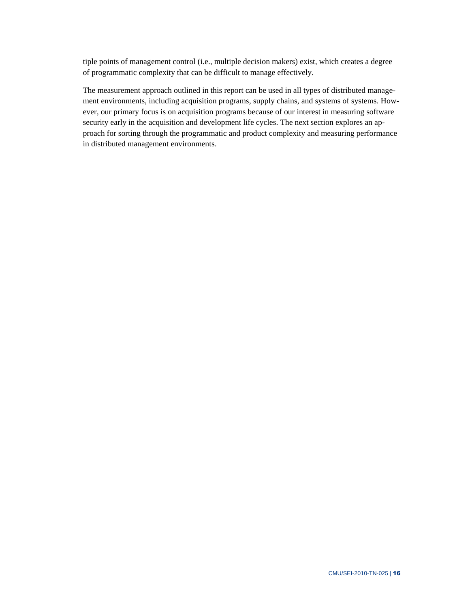tiple points of management control (i.e., multiple decision makers) exist, which creates a degree of programmatic complexity that can be difficult to manage effectively.

The measurement approach outlined in this report can be used in all types of distributed management environments, including acquisition programs, supply chains, and systems of systems. However, our primary focus is on acquisition programs because of our interest in measuring software security early in the acquisition and development life cycles. The next section explores an approach for sorting through the programmatic and product complexity and measuring performance in distributed management environments.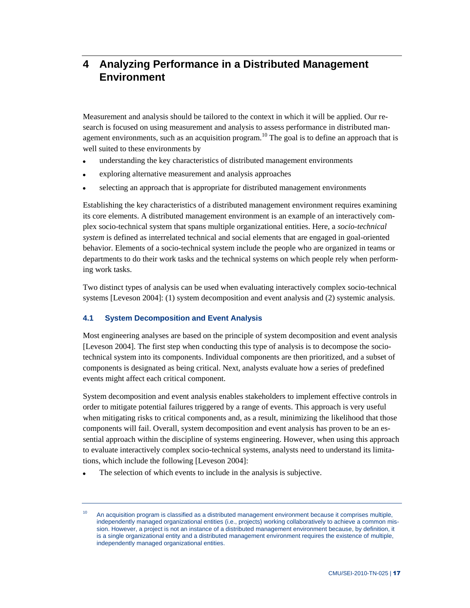# <span id="page-28-0"></span>**4 Analyzing Performance in a Distributed Management Environment**

Measurement and analysis should be tailored to the context in which it will be applied. Our research is focused on using measurement and analysis to assess performance in distributed management environments, such as an acquisition program.<sup>10</sup> The goal is to define an approach that is well suited to these environments by

- understanding the key characteristics of distributed management environments
- $\bullet$ exploring alternative measurement and analysis approaches
- selecting an approach that is appropriate for distributed management environments

Establishing the key characteristics of a distributed management environment requires examining its core elements. A distributed management environment is an example of an interactively complex socio-technical system that spans multiple organizational entities. Here, a *socio-technical system* is defined as interrelated technical and social elements that are engaged in goal-oriented behavior. Elements of a socio-technical system include the people who are organized in teams or departments to do their work tasks and the technical systems on which people rely when performing work tasks.

Two distinct types of analysis can be used when evaluating interactively complex socio-technical systems [Leveson 2004]: (1) system decomposition and event analysis and (2) systemic analysis.

#### <span id="page-28-1"></span>**4.1 System Decomposition and Event Analysis**

Most engineering analyses are based on the principle of system decomposition and event analysis [Leveson 2004]. The first step when conducting this type of analysis is to decompose the sociotechnical system into its components. Individual components are then prioritized, and a subset of components is designated as being critical. Next, analysts evaluate how a series of predefined events might affect each critical component.

System decomposition and event analysis enables stakeholders to implement effective controls in order to mitigate potential failures triggered by a range of events. This approach is very useful when mitigating risks to critical components and, as a result, minimizing the likelihood that those components will fail. Overall, system decomposition and event analysis has proven to be an essential approach within the discipline of systems engineering. However, when using this approach to evaluate interactively complex socio-technical systems, analysts need to understand its limitations, which include the following [Leveson 2004]:

The selection of which events to include in the analysis is subjective.

An acquisition program is classified as a distributed management environment because it comprises multiple, independently managed organizational entities (i.e., projects) working collaboratively to achieve a common mission. However, a project is not an instance of a distributed management environment because, by definition, it is a single organizational entity and a distributed management environment requires the existence of multiple, independently managed organizational entities.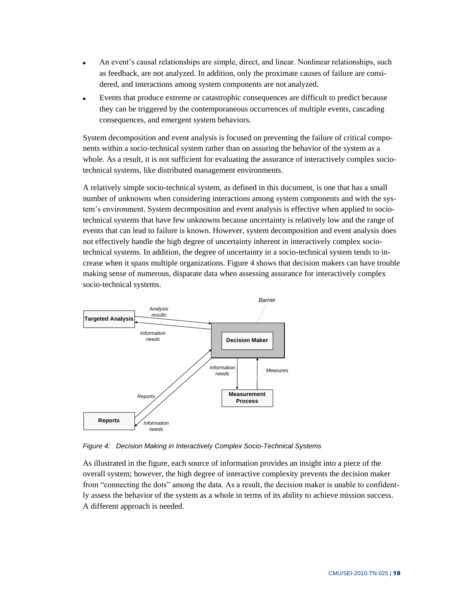- $\bullet$ An event's causal relationships are simple, direct, and linear. Nonlinear relationships, such as feedback, are not analyzed. In addition, only the proximate causes of failure are considered, and interactions among system components are not analyzed.
- Events that produce extreme or catastrophic consequences are difficult to predict because  $\bullet$ they can be triggered by the contemporaneous occurrences of multiple events, cascading consequences, and emergent system behaviors.

System decomposition and event analysis is focused on preventing the failure of critical components within a socio-technical system rather than on assuring the behavior of the system as a whole. As a result, it is not sufficient for evaluating the assurance of interactively complex sociotechnical systems, like distributed management environments.

A relatively simple socio-technical system, as defined in this document, is one that has a small number of unknowns when considering interactions among system components and with the system's environment. System decomposition and event analysis is effective when applied to sociotechnical systems that have few unknowns because uncertainty is relatively low and the range of events that can lead to failure is known. However, system decomposition and event analysis does not effectively handle the high degree of uncertainty inherent in interactively complex sociotechnical systems. In addition, the degree of uncertainty in a socio-technical system tends to increase when it spans multiple organizations. [Figure 4](#page-29-0) shows that decision makers can have trouble making sense of numerous, disparate data when assessing assurance for interactively complex socio-technical systems.



<span id="page-29-0"></span>*Figure 4: Decision Making in Interactively Complex Socio-Technical Systems*

As illustrated in the figure, each source of information provides an insight into a piece of the overall system; however, the high degree of interactive complexity prevents the decision maker from "connecting the dots" among the data. As a result, the decision maker is unable to confidently assess the behavior of the system as a whole in terms of its ability to achieve mission success. A different approach is needed.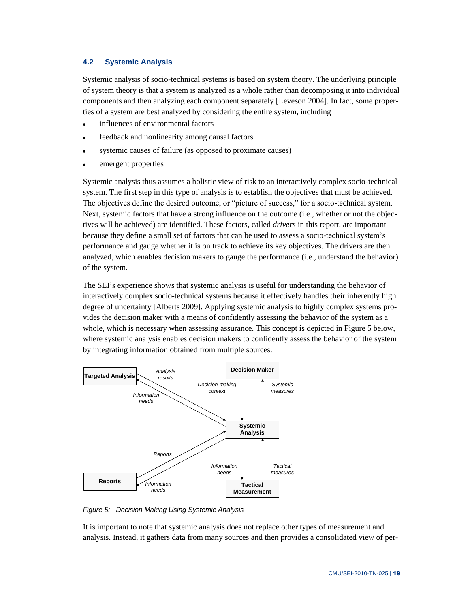#### <span id="page-30-0"></span>**4.2 Systemic Analysis**

Systemic analysis of socio-technical systems is based on system theory. The underlying principle of system theory is that a system is analyzed as a whole rather than decomposing it into individual components and then analyzing each component separately [Leveson 2004]. In fact, some properties of a system are best analyzed by considering the entire system, including

- influences of environmental factors  $\bullet$
- feedback and nonlinearity among causal factors  $\bullet$
- systemic causes of failure (as opposed to proximate causes)  $\bullet$
- emergent properties

Systemic analysis thus assumes a holistic view of risk to an interactively complex socio-technical system. The first step in this type of analysis is to establish the objectives that must be achieved. The objectives define the desired outcome, or "picture of success," for a socio-technical system. Next, systemic factors that have a strong influence on the outcome (i.e., whether or not the objectives will be achieved) are identified. These factors, called *drivers* in this report, are important because they define a small set of factors that can be used to assess a socio-technical system's performance and gauge whether it is on track to achieve its key objectives. The drivers are then analyzed, which enables decision makers to gauge the performance (i.e., understand the behavior) of the system.

The SEI's experience shows that systemic analysis is useful for understanding the behavior of interactively complex socio-technical systems because it effectively handles their inherently high degree of uncertainty [Alberts 2009]. Applying systemic analysis to highly complex systems provides the decision maker with a means of confidently assessing the behavior of the system as a whole, which is necessary when assessing assurance. This concept is depicted i[n Figure 5](#page-30-1) below, where systemic analysis enables decision makers to confidently assess the behavior of the system by integrating information obtained from multiple sources.



<span id="page-30-1"></span>*Figure 5: Decision Making Using Systemic Analysis*

It is important to note that systemic analysis does not replace other types of measurement and analysis. Instead, it gathers data from many sources and then provides a consolidated view of per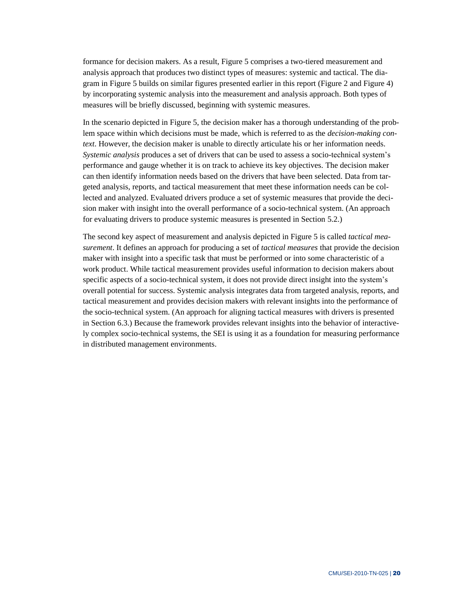formance for decision makers. As a result, [Figure 5](#page-30-1) comprises a two-tiered measurement and analysis approach that produces two distinct types of measures: systemic and tactical. The diagram in [Figure 5](#page-30-1) builds on similar figures presented earlier in this report [\(Figure 2](#page-23-0) an[d Figure 4\)](#page-29-0) by incorporating systemic analysis into the measurement and analysis approach. Both types of measures will be briefly discussed, beginning with systemic measures.

In the scenario depicted in [Figure 5,](#page-30-1) the decision maker has a thorough understanding of the problem space within which decisions must be made, which is referred to as the *decision-making context*. However, the decision maker is unable to directly articulate his or her information needs. *Systemic analysis* produces a set of drivers that can be used to assess a socio-technical system's performance and gauge whether it is on track to achieve its key objectives. The decision maker can then identify information needs based on the drivers that have been selected. Data from targeted analysis, reports, and tactical measurement that meet these information needs can be collected and analyzed. Evaluated drivers produce a set of systemic measures that provide the decision maker with insight into the overall performance of a socio-technical system. (An approach for evaluating drivers to produce systemic measures is presented in Section [5.2.](#page-37-0))

The second key aspect of measurement and analysis depicted i[n Figure 5](#page-30-1) is called *tactical measurement*. It defines an approach for producing a set of *tactical measures* that provide the decision maker with insight into a specific task that must be performed or into some characteristic of a work product. While tactical measurement provides useful information to decision makers about specific aspects of a socio-technical system, it does not provide direct insight into the system's overall potential for success. Systemic analysis integrates data from targeted analysis, reports, and tactical measurement and provides decision makers with relevant insights into the performance of the socio-technical system. (An approach for aligning tactical measures with drivers is presented in Section [6.3.](#page-47-0)) Because the framework provides relevant insights into the behavior of interactively complex socio-technical systems, the SEI is using it as a foundation for measuring performance in distributed management environments.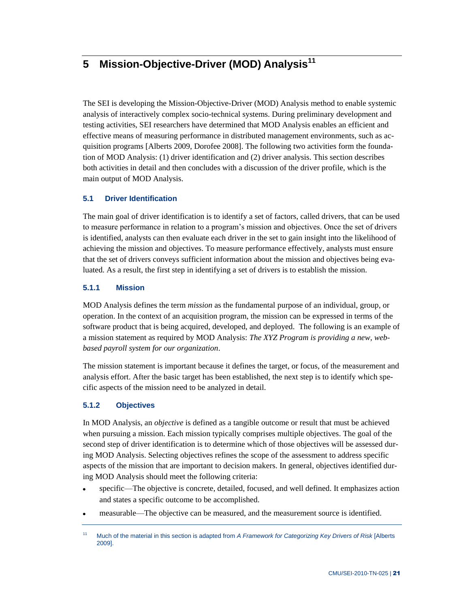# <span id="page-32-0"></span>**5 Mission-Objective-Driver (MOD) Analysis<sup>11</sup>**

The SEI is developing the Mission-Objective-Driver (MOD) Analysis method to enable systemic analysis of interactively complex socio-technical systems. During preliminary development and testing activities, SEI researchers have determined that MOD Analysis enables an efficient and effective means of measuring performance in distributed management environments, such as acquisition programs [Alberts 2009, Dorofee 2008]. The following two activities form the foundation of MOD Analysis: (1) driver identification and (2) driver analysis. This section describes both activities in detail and then concludes with a discussion of the driver profile, which is the main output of MOD Analysis.

#### <span id="page-32-1"></span>**5.1 Driver Identification**

The main goal of driver identification is to identify a set of factors, called drivers, that can be used to measure performance in relation to a program's mission and objectives. Once the set of drivers is identified, analysts can then evaluate each driver in the set to gain insight into the likelihood of achieving the mission and objectives. To measure performance effectively, analysts must ensure that the set of drivers conveys sufficient information about the mission and objectives being evaluated. As a result, the first step in identifying a set of drivers is to establish the mission.

#### <span id="page-32-2"></span>**5.1.1 Mission**

MOD Analysis defines the term *mission* as the fundamental purpose of an individual, group, or operation. In the context of an acquisition program, the mission can be expressed in terms of the software product that is being acquired, developed, and deployed. The following is an example of a mission statement as required by MOD Analysis: *The XYZ Program is providing a new, webbased payroll system for our organization*.

The mission statement is important because it defines the target, or focus, of the measurement and analysis effort. After the basic target has been established, the next step is to identify which specific aspects of the mission need to be analyzed in detail.

#### <span id="page-32-3"></span>**5.1.2 Objectives**

In MOD Analysis, an *objective* is defined as a tangible outcome or result that must be achieved when pursuing a mission. Each mission typically comprises multiple objectives. The goal of the second step of driver identification is to determine which of those objectives will be assessed during MOD Analysis. Selecting objectives refines the scope of the assessment to address specific aspects of the mission that are important to decision makers. In general, objectives identified during MOD Analysis should meet the following criteria:

- $\bullet$ specific—The objective is concrete, detailed, focused, and well defined. It emphasizes action and states a specific outcome to be accomplished.
- measurable—The objective can be measured, and the measurement source is identified.  $\bullet$

<sup>11</sup> Much of the material in this section is adapted from *A Framework for Categorizing Key Drivers of Risk* [Alberts 2009].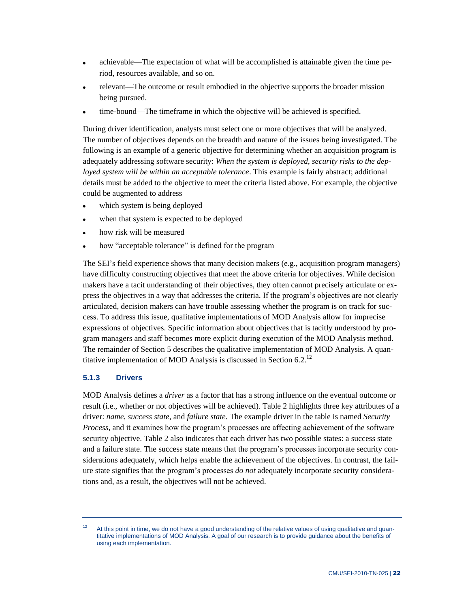- achievable—The expectation of what will be accomplished is attainable given the time pe- $\bullet$ riod, resources available, and so on.
- relevant—The outcome or result embodied in the objective supports the broader mission  $\bullet$ being pursued.
- time-bound—The timeframe in which the objective will be achieved is specified.

During driver identification, analysts must select one or more objectives that will be analyzed. The number of objectives depends on the breadth and nature of the issues being investigated. The following is an example of a generic objective for determining whether an acquisition program is adequately addressing software security: *When the system is deployed, security risks to the deployed system will be within an acceptable tolerance*. This example is fairly abstract; additional details must be added to the objective to meet the criteria listed above. For example, the objective could be augmented to address

- which system is being deployed  $\ddot{\phantom{0}}$
- $\bullet$ when that system is expected to be deployed
- how risk will be measured  $\bullet$
- how "acceptable tolerance" is defined for the program

The SEI's field experience shows that many decision makers (e.g., acquisition program managers) have difficulty constructing objectives that meet the above criteria for objectives. While decision makers have a tacit understanding of their objectives, they often cannot precisely articulate or express the objectives in a way that addresses the criteria. If the program's objectives are not clearly articulated, decision makers can have trouble assessing whether the program is on track for success. To address this issue, qualitative implementations of MOD Analysis allow for imprecise expressions of objectives. Specific information about objectives that is tacitly understood by program managers and staff becomes more explicit during execution of the MOD Analysis method. The remainder of Section [5](#page-32-0) describes the qualitative implementation of MOD Analysis. A quan-titative implementation of MOD Analysis is discussed in Section [6.2.](#page-44-0) $^{12}$ 

#### <span id="page-33-0"></span>**5.1.3 Drivers**

MOD Analysis defines a *driver* as a factor that has a strong influence on the eventual outcome or result (i.e., whether or not objectives will be achieved). [Table 2](#page-34-1) highlights three key attributes of a driver: *name*, *success state*, and *failure state*. The example driver in the table is named *Security Process*, and it examines how the program's processes are affecting achievement of the software security objective[. Table 2](#page-34-1) also indicates that each driver has two possible states: a success state and a failure state. The success state means that the program's processes incorporate security considerations adequately, which helps enable the achievement of the objectives. In contrast, the failure state signifies that the program's processes *do not* adequately incorporate security considerations and, as a result, the objectives will not be achieved.

 $12$  At this point in time, we do not have a good understanding of the relative values of using qualitative and quantitative implementations of MOD Analysis. A goal of our research is to provide guidance about the benefits of using each implementation.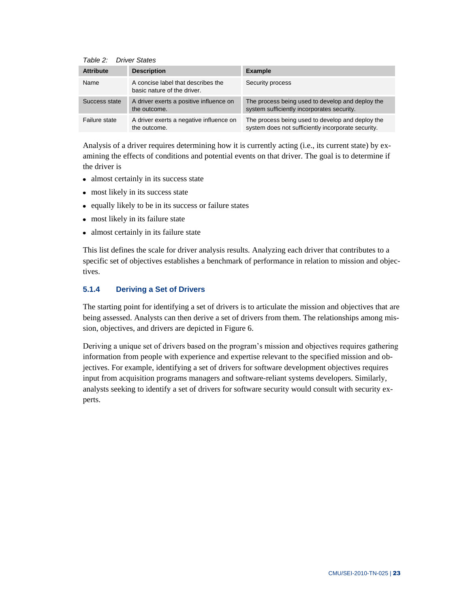#### <span id="page-34-1"></span>*Table 2: Driver States*

| <b>Attribute</b> | <b>Description</b>                                                | <b>Example</b>                                                                                         |
|------------------|-------------------------------------------------------------------|--------------------------------------------------------------------------------------------------------|
| Name             | A concise label that describes the<br>basic nature of the driver. | Security process                                                                                       |
| Success state    | A driver exerts a positive influence on<br>the outcome.           | The process being used to develop and deploy the<br>system sufficiently incorporates security.         |
| Failure state    | A driver exerts a negative influence on<br>the outcome.           | The process being used to develop and deploy the<br>system does not sufficiently incorporate security. |

Analysis of a driver requires determining how it is currently acting (i.e., its current state) by examining the effects of conditions and potential events on that driver. The goal is to determine if the driver is

- almost certainly in its success state
- most likely in its success state
- equally likely to be in its success or failure states
- most likely in its failure state
- almost certainly in its failure state

This list defines the scale for driver analysis results. Analyzing each driver that contributes to a specific set of objectives establishes a benchmark of performance in relation to mission and objectives.

#### <span id="page-34-0"></span>**5.1.4 Deriving a Set of Drivers**

The starting point for identifying a set of drivers is to articulate the mission and objectives that are being assessed. Analysts can then derive a set of drivers from them. The relationships among mission, objectives, and drivers are depicted in [Figure 6.](#page-35-1)

Deriving a unique set of drivers based on the program's mission and objectives requires gathering information from people with experience and expertise relevant to the specified mission and objectives. For example, identifying a set of drivers for software development objectives requires input from acquisition programs managers and software-reliant systems developers. Similarly, analysts seeking to identify a set of drivers for software security would consult with security experts.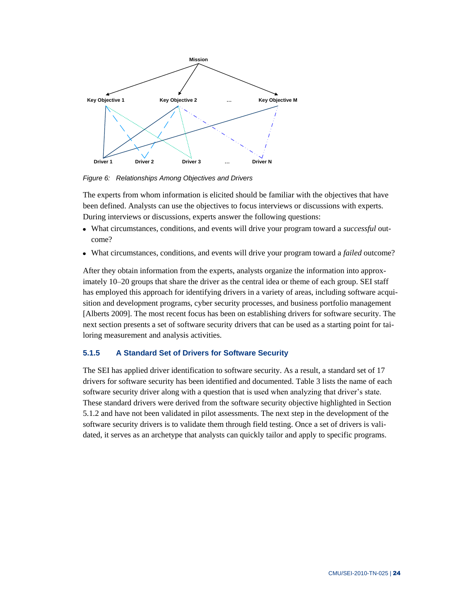

<span id="page-35-1"></span>*Figure 6: Relationships Among Objectives and Drivers*

The experts from whom information is elicited should be familiar with the objectives that have been defined. Analysts can use the objectives to focus interviews or discussions with experts. During interviews or discussions, experts answer the following questions:

- What circumstances, conditions, and events will drive your program toward a *successful* outcome?
- What circumstances, conditions, and events will drive your program toward a *failed* outcome?

After they obtain information from the experts, analysts organize the information into approximately 10–20 groups that share the driver as the central idea or theme of each group. SEI staff has employed this approach for identifying drivers in a variety of areas, including software acquisition and development programs, cyber security processes, and business portfolio management [Alberts 2009]. The most recent focus has been on establishing drivers for software security. The next section presents a set of software security drivers that can be used as a starting point for tailoring measurement and analysis activities.

#### <span id="page-35-0"></span>**5.1.5 A Standard Set of Drivers for Software Security**

The SEI has applied driver identification to software security. As a result, a standard set of 17 drivers for software security has been identified and documented. [Table 3](#page-36-1) lists the name of each software security driver along with a question that is used when analyzing that driver's state. These standard drivers were derived from the software security objective highlighted in Section [5.1.2](#page-32-3) and have not been validated in pilot assessments. The next step in the development of the software security drivers is to validate them through field testing. Once a set of drivers is validated, it serves as an archetype that analysts can quickly tailor and apply to specific programs.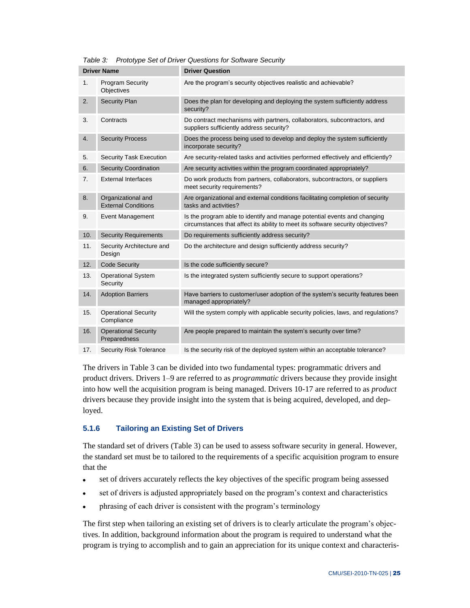| <b>Driver Name</b> |                                                  | <b>Driver Question</b>                                                                                                                                      |  |
|--------------------|--------------------------------------------------|-------------------------------------------------------------------------------------------------------------------------------------------------------------|--|
| 1.                 | <b>Program Security</b><br><b>Objectives</b>     | Are the program's security objectives realistic and achievable?                                                                                             |  |
| 2.                 | <b>Security Plan</b>                             | Does the plan for developing and deploying the system sufficiently address<br>security?                                                                     |  |
| 3.                 | Contracts                                        | Do contract mechanisms with partners, collaborators, subcontractors, and<br>suppliers sufficiently address security?                                        |  |
| 4.                 | <b>Security Process</b>                          | Does the process being used to develop and deploy the system sufficiently<br>incorporate security?                                                          |  |
| 5.                 | <b>Security Task Execution</b>                   | Are security-related tasks and activities performed effectively and efficiently?                                                                            |  |
| 6.                 | <b>Security Coordination</b>                     | Are security activities within the program coordinated appropriately?                                                                                       |  |
| 7.                 | <b>External Interfaces</b>                       | Do work products from partners, collaborators, subcontractors, or suppliers<br>meet security requirements?                                                  |  |
| 8.                 | Organizational and<br><b>External Conditions</b> | Are organizational and external conditions facilitating completion of security<br>tasks and activities?                                                     |  |
| 9.                 | <b>Event Management</b>                          | Is the program able to identify and manage potential events and changing<br>circumstances that affect its ability to meet its software security objectives? |  |
| 10.                | <b>Security Requirements</b>                     | Do requirements sufficiently address security?                                                                                                              |  |
| 11.                | Security Architecture and<br>Design              | Do the architecture and design sufficiently address security?                                                                                               |  |
| 12.                | <b>Code Security</b>                             | Is the code sufficiently secure?                                                                                                                            |  |
| 13.                | <b>Operational System</b><br>Security            | Is the integrated system sufficiently secure to support operations?                                                                                         |  |
| 14.                | <b>Adoption Barriers</b>                         | Have barriers to customer/user adoption of the system's security features been<br>managed appropriately?                                                    |  |
| 15.                | <b>Operational Security</b><br>Compliance        | Will the system comply with applicable security policies, laws, and regulations?                                                                            |  |
| 16.                | <b>Operational Security</b><br>Preparedness      | Are people prepared to maintain the system's security over time?                                                                                            |  |
| 17.                | <b>Security Risk Tolerance</b>                   | Is the security risk of the deployed system within an acceptable tolerance?                                                                                 |  |

<span id="page-36-0"></span>*Table 3: Prototype Set of Driver Questions for Software Security*

The drivers in [Table 3](#page-36-0) can be divided into two fundamental types: programmatic drivers and product drivers. Drivers 1–9 are referred to as *programmatic* drivers because they provide insight into how well the acquisition program is being managed. Drivers 10-17 are referred to as *product* drivers because they provide insight into the system that is being acquired, developed, and deployed.

# **5.1.6 Tailoring an Existing Set of Drivers**

The standard set of drivers [\(Table 3\)](#page-36-0) can be used to assess software security in general. However, the standard set must be to tailored to the requirements of a specific acquisition program to ensure that the

- set of drivers accurately reflects the key objectives of the specific program being assessed  $\bullet$
- set of drivers is adjusted appropriately based on the program's context and characteristics  $\bullet$
- phrasing of each driver is consistent with the program's terminology  $\bullet$

The first step when tailoring an existing set of drivers is to clearly articulate the program's objectives. In addition, background information about the program is required to understand what the program is trying to accomplish and to gain an appreciation for its unique context and characteris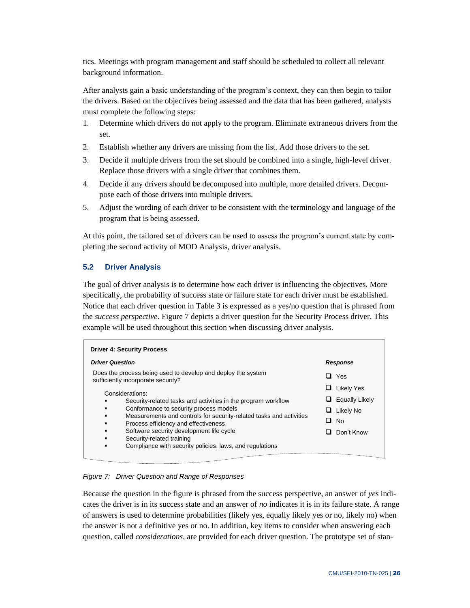tics. Meetings with program management and staff should be scheduled to collect all relevant background information.

After analysts gain a basic understanding of the program's context, they can then begin to tailor the drivers. Based on the objectives being assessed and the data that has been gathered, analysts must complete the following steps:

- 1. Determine which drivers do not apply to the program. Eliminate extraneous drivers from the set.
- 2. Establish whether any drivers are missing from the list. Add those drivers to the set.
- 3. Decide if multiple drivers from the set should be combined into a single, high-level driver. Replace those drivers with a single driver that combines them.
- 4. Decide if any drivers should be decomposed into multiple, more detailed drivers. Decompose each of those drivers into multiple drivers.
- 5. Adjust the wording of each driver to be consistent with the terminology and language of the program that is being assessed.

At this point, the tailored set of drivers can be used to assess the program's current state by completing the second activity of MOD Analysis, driver analysis.

# <span id="page-37-1"></span>**5.2 Driver Analysis**

The goal of driver analysis is to determine how each driver is influencing the objectives. More specifically, the probability of success state or failure state for each driver must be established. Notice that each driver question in [Table 3](#page-36-0) is expressed as a yes/no question that is phrased from the *success perspective*[. Figure 7](#page-37-0) depicts a driver question for the Security Process driver. This example will be used throughout this section when discussing driver analysis.

| <b>Driver Question</b><br>Response<br>Does the process being used to develop and deploy the system<br>Yes<br>ப<br>sufficiently incorporate security?<br><b>Likely Yes</b><br>⊔<br>Considerations:<br>Equally Likely<br>Security-related tasks and activities in the program workflow<br>Conformance to security process models<br>٠<br>Likely No<br>⊔<br>Measurements and controls for security-related tasks and activities<br>٠<br><b>No</b><br>┚<br>Process efficiency and effectiveness<br>٠<br>Software security development life cycle<br>٠<br>Don't Know<br>Security-related training<br>٠ | <b>Driver 4: Security Process</b> |  |
|---------------------------------------------------------------------------------------------------------------------------------------------------------------------------------------------------------------------------------------------------------------------------------------------------------------------------------------------------------------------------------------------------------------------------------------------------------------------------------------------------------------------------------------------------------------------------------------------------|-----------------------------------|--|
|                                                                                                                                                                                                                                                                                                                                                                                                                                                                                                                                                                                                   |                                   |  |
|                                                                                                                                                                                                                                                                                                                                                                                                                                                                                                                                                                                                   |                                   |  |
| Compliance with security policies, laws, and regulations<br>٠                                                                                                                                                                                                                                                                                                                                                                                                                                                                                                                                     |                                   |  |

#### <span id="page-37-0"></span>*Figure 7: Driver Question and Range of Responses*

Because the question in the figure is phrased from the success perspective, an answer of *yes* indicates the driver is in its success state and an answer of *no* indicates it is in its failure state. A range of answers is used to determine probabilities (likely yes, equally likely yes or no, likely no) when the answer is not a definitive yes or no. In addition, key items to consider when answering each question, called *considerations*, are provided for each driver question. The prototype set of stan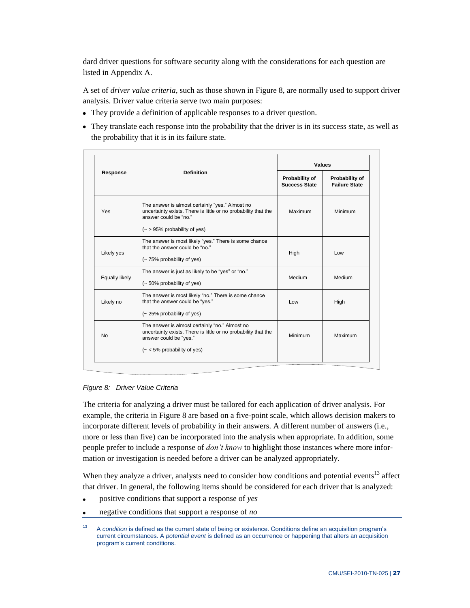dard driver questions for software security along with the considerations for each question are listed in Appendix A.

A set of *driver value criteria*, such as those shown in [Figure 8,](#page-38-0) are normally used to support driver analysis. Driver value criteria serve two main purposes:

- They provide a definition of applicable responses to a driver question.
- They translate each response into the probability that the driver is in its success state, as well as the probability that it is in its failure state.

|                |                                                                                                                                                                               | Values                                 |                                        |
|----------------|-------------------------------------------------------------------------------------------------------------------------------------------------------------------------------|----------------------------------------|----------------------------------------|
| Response       | <b>Definition</b>                                                                                                                                                             | Probability of<br><b>Success State</b> | Probability of<br><b>Failure State</b> |
| Yes            | The answer is almost certainly "yes." Almost no<br>uncertainty exists. There is little or no probability that the<br>answer could be "no."<br>$(- > 95\%$ probability of yes) | Maximum                                |                                        |
| Likely yes     | The answer is most likely "yes." There is some chance<br>that the answer could be "no."<br>(~75% probability of yes)                                                          | High                                   | Low                                    |
| Equally likely | The answer is just as likely to be "yes" or "no."<br>(~50% probability of yes)                                                                                                | Medium                                 | Medium                                 |
| Likely no      | The answer is most likely "no." There is some chance<br>that the answer could be "yes."<br>(~25% probability of yes)                                                          | Low                                    | High                                   |
| <b>No</b>      | The answer is almost certainly "no." Almost no<br>uncertainty exists. There is little or no probability that the<br>answer could be "yes."<br>$(5\% probability of yes)$      | Minimum                                | Maximum                                |

#### <span id="page-38-0"></span>*Figure 8: Driver Value Criteria*

The criteria for analyzing a driver must be tailored for each application of driver analysis. For example, the criteria in [Figure 8](#page-38-0) are based on a five-point scale, which allows decision makers to incorporate different levels of probability in their answers. A different number of answers (i.e., more or less than five) can be incorporated into the analysis when appropriate. In addition, some people prefer to include a response of *don't know* to highlight those instances where more information or investigation is needed before a driver can be analyzed appropriately.

When they analyze a driver, analysts need to consider how conditions and potential events<sup>13</sup> affect that driver. In general, the following items should be considered for each driver that is analyzed:

- positive conditions that support a response of *yes*  $\bullet$
- negative conditions that support a response of *no*

<sup>&</sup>lt;sup>13</sup> A *condition* is defined as the current state of being or existence. Conditions define an acquisition program's current circumstances. A *potential event* is defined as an occurrence or happening that alters an acquisition program's current conditions.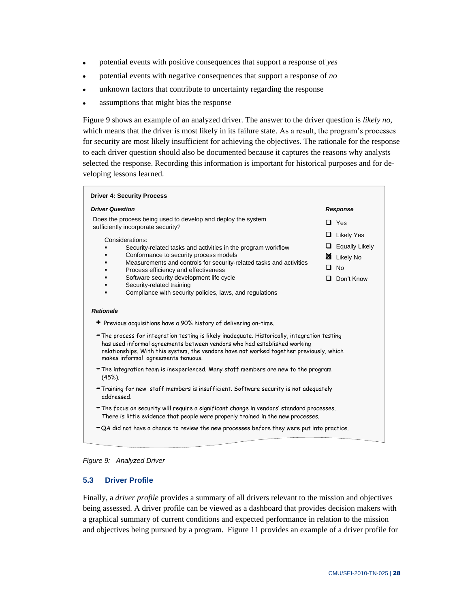- $\bullet$ potential events with positive consequences that support a response of *yes*
- potential events with negative consequences that support a response of *no*  $\bullet$
- unknown factors that contribute to uncertainty regarding the response  $\bullet$
- assumptions that might bias the response  $\bullet$

[Figure 9](#page-39-0) shows an example of an analyzed driver. The answer to the driver question is *likely no*, which means that the driver is most likely in its failure state. As a result, the program's processes for security are most likely insufficient for achieving the objectives. The rationale for the response to each driver question should also be documented because it captures the reasons why analysts selected the response. Recording this information is important for historical purposes and for developing lessons learned.

| <b>Driver 4: Security Process</b>                                                                                                                                                                                                                                                                          |                                                                       |  |  |  |  |
|------------------------------------------------------------------------------------------------------------------------------------------------------------------------------------------------------------------------------------------------------------------------------------------------------------|-----------------------------------------------------------------------|--|--|--|--|
| <b>Driver Question</b><br>Response                                                                                                                                                                                                                                                                         |                                                                       |  |  |  |  |
| Does the process being used to develop and deploy the system<br>sufficiently incorporate security?<br>Considerations:<br>Security-related tasks and activities in the program workflow<br>Conformance to security process models<br>Measurements and controls for security-related tasks and activities    | $\Box$ Yes<br>$\Box$ Likely Yes<br>$\Box$ Equally Likely<br>Likely No |  |  |  |  |
| Process efficiency and effectiveness<br>Software security development life cycle<br>Security-related training<br>Compliance with security policies, laws, and regulations                                                                                                                                  | $\Box$ No<br>$\Box$ Don't Know                                        |  |  |  |  |
| <b>Rationale</b>                                                                                                                                                                                                                                                                                           |                                                                       |  |  |  |  |
| + Previous acquisitions have a 90% history of delivering on-time.                                                                                                                                                                                                                                          |                                                                       |  |  |  |  |
| - The process for integration testing is likely inadeguate. Historically, integration testing<br>has used informal agreements between vendors who had established working<br>relationships. With this system, the vendors have not worked together previously, which<br>makes informal agreements tenuous. |                                                                       |  |  |  |  |
| - The integration team is inexperienced. Many staff members are new to the program<br>$(45\%)$ .                                                                                                                                                                                                           |                                                                       |  |  |  |  |
| - Training for new staff members is insufficient. Software security is not adequately<br>nddressed                                                                                                                                                                                                         |                                                                       |  |  |  |  |
| - The focus on security will require a significant change in vendors' standard processes.<br>There is little evidence that people were properly trained in the new processes.                                                                                                                              |                                                                       |  |  |  |  |
| $-QA$ did not have a chance to review the new processes before they were put into practice.                                                                                                                                                                                                                |                                                                       |  |  |  |  |

<span id="page-39-1"></span><span id="page-39-0"></span>*Figure 9: Analyzed Driver*

#### **5.3 Driver Profile**

Finally, a *driver profile* provides a summary of all drivers relevant to the mission and objectives being assessed. A driver profile can be viewed as a dashboard that provides decision makers with a graphical summary of current conditions and expected performance in relation to the mission and objectives being pursued by a program. [Figure 11](#page-41-0) provides an example of a driver profile for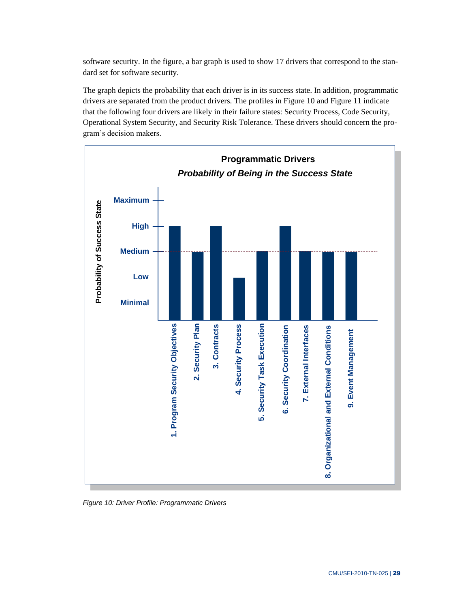software security. In the figure, a bar graph is used to show 17 drivers that correspond to the standard set for software security.

The graph depicts the probability that each driver is in its success state. In addition, programmatic drivers are separated from the product drivers. The profiles in [Figure 10](#page-40-0) and [Figure 11](#page-41-0) indicate that the following four drivers are likely in their failure states: Security Process, Code Security, Operational System Security, and Security Risk Tolerance. These drivers should concern the program's decision makers.



<span id="page-40-0"></span>*Figure 10: Driver Profile: Programmatic Drivers*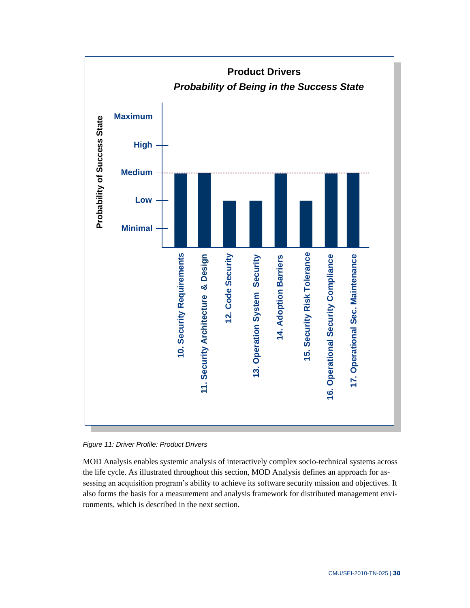

<span id="page-41-0"></span>*Figure 11: Driver Profile: Product Drivers*

MOD Analysis enables systemic analysis of interactively complex socio-technical systems across the life cycle. As illustrated throughout this section, MOD Analysis defines an approach for assessing an acquisition program's ability to achieve its software security mission and objectives. It also forms the basis for a measurement and analysis framework for distributed management environments, which is described in the next section.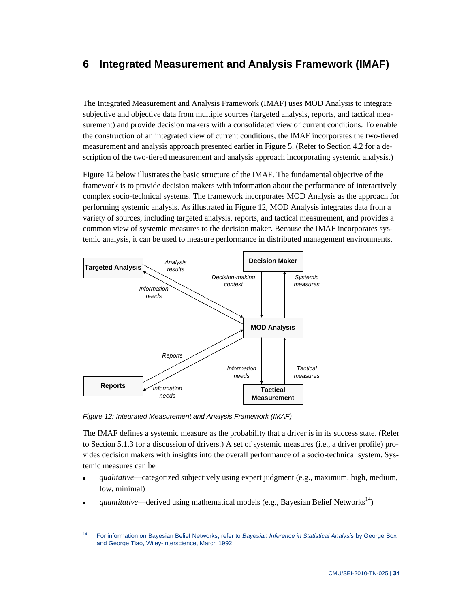# **6 Integrated Measurement and Analysis Framework (IMAF)**

The Integrated Measurement and Analysis Framework (IMAF) uses MOD Analysis to integrate subjective and objective data from multiple sources (targeted analysis, reports, and tactical measurement) and provide decision makers with a consolidated view of current conditions. To enable the construction of an integrated view of current conditions, the IMAF incorporates the two-tiered measurement and analysis approach presented earlier in [Figure 5.](#page-30-0) (Refer to Section [4.2](#page-30-1) for a description of the two-tiered measurement and analysis approach incorporating systemic analysis.)

[Figure 12](#page-42-0) below illustrates the basic structure of the IMAF. The fundamental objective of the framework is to provide decision makers with information about the performance of interactively complex socio-technical systems. The framework incorporates MOD Analysis as the approach for performing systemic analysis. As illustrated in [Figure 12,](#page-42-0) MOD Analysis integrates data from a variety of sources, including targeted analysis, reports, and tactical measurement, and provides a common view of systemic measures to the decision maker. Because the IMAF incorporates systemic analysis, it can be used to measure performance in distributed management environments.



<span id="page-42-0"></span>*Figure 12: Integrated Measurement and Analysis Framework (IMAF)*

The IMAF defines a systemic measure as the probability that a driver is in its success state. (Refer to Section [5.1.3](#page-33-0) for a discussion of drivers.) A set of systemic measures (i.e., a driver profile) provides decision makers with insights into the overall performance of a socio-technical system. Systemic measures can be

- *qualitative*—categorized subjectively using expert judgment (e.g., maximum, high, medium, low, minimal)
- *quantitative*—derived using mathematical models (e.g., Bayesian Belief Networks<sup>14</sup>)

<sup>14</sup> For information on Bayesian Belief Networks, refer to *Bayesian Inference in Statistical Analysis* by George Box and George Tiao, Wiley-Interscience, March 1992.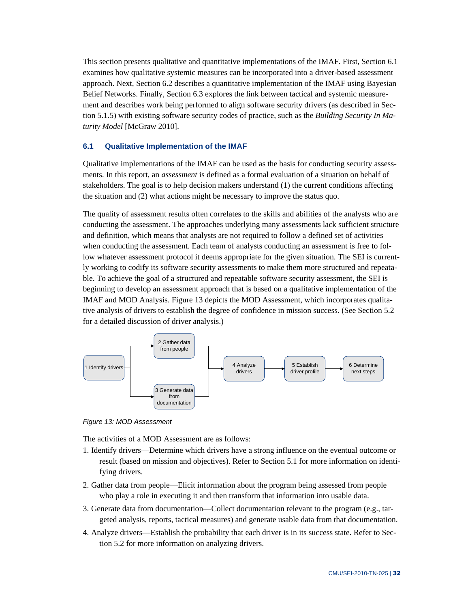This section presents qualitative and quantitative implementations of the IMAF. First, Section [6.1](#page-43-0) examines how qualitative systemic measures can be incorporated into a driver-based assessment approach. Next, Section [6.2](#page-44-0) describes a quantitative implementation of the IMAF using Bayesian Belief Networks. Finally, Section [6.3](#page-47-0) explores the link between tactical and systemic measurement and describes work being performed to align software security drivers (as described in Section [5.1.5\)](#page-35-0) with existing software security codes of practice, such as the *Building Security In Maturity Model* [McGraw 2010].

#### <span id="page-43-0"></span>**6.1 Qualitative Implementation of the IMAF**

Qualitative implementations of the IMAF can be used as the basis for conducting security assessments. In this report, an *assessment* is defined as a formal evaluation of a situation on behalf of stakeholders. The goal is to help decision makers understand (1) the current conditions affecting the situation and (2) what actions might be necessary to improve the status quo.

The quality of assessment results often correlates to the skills and abilities of the analysts who are conducting the assessment. The approaches underlying many assessments lack sufficient structure and definition, which means that analysts are not required to follow a defined set of activities when conducting the assessment. Each team of analysts conducting an assessment is free to follow whatever assessment protocol it deems appropriate for the given situation. The SEI is currently working to codify its software security assessments to make them more structured and repeatable. To achieve the goal of a structured and repeatable software security assessment, the SEI is beginning to develop an assessment approach that is based on a qualitative implementation of the IMAF and MOD Analysis. [Figure 13](#page-43-1) depicts the MOD Assessment, which incorporates qualitative analysis of drivers to establish the degree of confidence in mission success. (See Section [5.2](#page-37-1) for a detailed discussion of driver analysis.)



<span id="page-43-1"></span>*Figure 13: MOD Assessment*

The activities of a MOD Assessment are as follows:

- 1. Identify drivers—Determine which drivers have a strong influence on the eventual outcome or result (based on mission and objectives). Refer to Section [5.1](#page-32-0) for more information on identifying drivers.
- 2. Gather data from people—Elicit information about the program being assessed from people who play a role in executing it and then transform that information into usable data.
- 3. Generate data from documentation—Collect documentation relevant to the program (e.g., targeted analysis, reports, tactical measures) and generate usable data from that documentation.
- 4. Analyze drivers—Establish the probability that each driver is in its success state. Refer to Section [5.2](#page-37-1) for more information on analyzing drivers.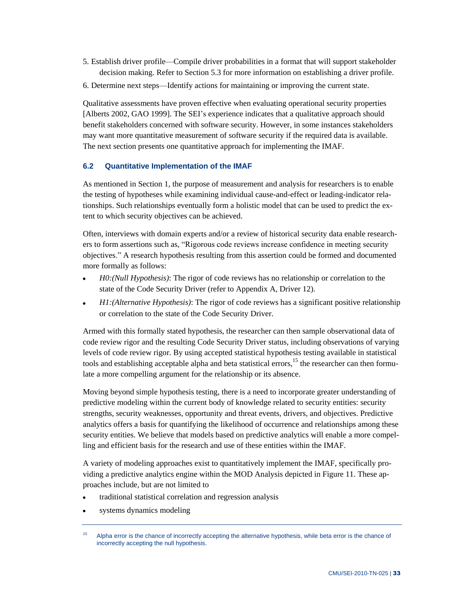- 5. Establish driver profile—Compile driver probabilities in a format that will support stakeholder decision making. Refer to Section [5.3](#page-39-1) for more information on establishing a driver profile.
- 6. Determine next steps—Identify actions for maintaining or improving the current state.

Qualitative assessments have proven effective when evaluating operational security properties [Alberts 2002, GAO 1999]. The SEI's experience indicates that a qualitative approach should benefit stakeholders concerned with software security. However, in some instances stakeholders may want more quantitative measurement of software security if the required data is available. The next section presents one quantitative approach for implementing the IMAF.

# <span id="page-44-0"></span>**6.2 Quantitative Implementation of the IMAF**

As mentioned in Section 1, the purpose of measurement and analysis for researchers is to enable the testing of hypotheses while examining individual cause-and-effect or leading-indicator relationships. Such relationships eventually form a holistic model that can be used to predict the extent to which security objectives can be achieved.

Often, interviews with domain experts and/or a review of historical security data enable researchers to form assertions such as, "Rigorous code reviews increase confidence in meeting security objectives.‖ A research hypothesis resulting from this assertion could be formed and documented more formally as follows:

- *H0:(Null Hypothesis)*: The rigor of code reviews has no relationship or correlation to the state of the Code Security Driver (refer to Appendix A, Driver 12).
- $\bullet$ *H1:(Alternative Hypothesis)*: The rigor of code reviews has a significant positive relationship or correlation to the state of the Code Security Driver.

Armed with this formally stated hypothesis, the researcher can then sample observational data of code review rigor and the resulting Code Security Driver status, including observations of varying levels of code review rigor. By using accepted statistical hypothesis testing available in statistical tools and establishing acceptable alpha and beta statistical errors,<sup>15</sup> the researcher can then formulate a more compelling argument for the relationship or its absence.

Moving beyond simple hypothesis testing, there is a need to incorporate greater understanding of predictive modeling within the current body of knowledge related to security entities: security strengths, security weaknesses, opportunity and threat events, drivers, and objectives. Predictive analytics offers a basis for quantifying the likelihood of occurrence and relationships among these security entities. We believe that models based on predictive analytics will enable a more compelling and efficient basis for the research and use of these entities within the IMAF.

A variety of modeling approaches exist to quantitatively implement the IMAF, specifically providing a predictive analytics engine within the MOD Analysis depicted in Figure 11. These approaches include, but are not limited to

- traditional statistical correlation and regression analysis
- systems dynamics modeling

<sup>&</sup>lt;sup>15</sup> Alpha error is the chance of incorrectly accepting the alternative hypothesis, while beta error is the chance of incorrectly accepting the null hypothesis.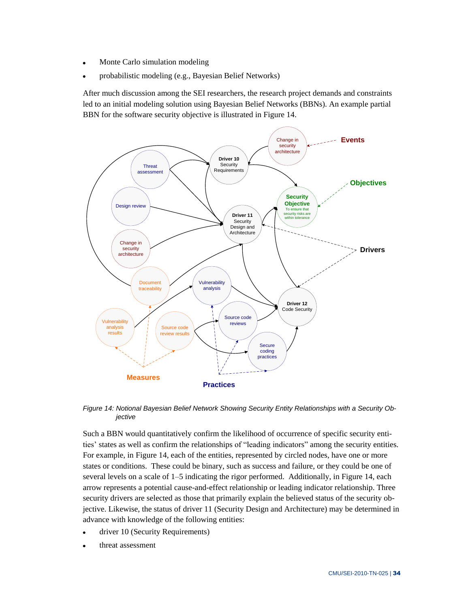- Monte Carlo simulation modeling  $\bullet$
- probabilistic modeling (e.g., Bayesian Belief Networks)  $\bullet$

After much discussion among the SEI researchers, the research project demands and constraints led to an initial modeling solution using Bayesian Belief Networks (BBNs). An example partial BBN for the software security objective is illustrated in [Figure 14.](#page-45-0)



<span id="page-45-0"></span>*Figure 14: Notional Bayesian Belief Network Showing Security Entity Relationships with a Security Objective*

Such a BBN would quantitatively confirm the likelihood of occurrence of specific security entities' states as well as confirm the relationships of "leading indicators" among the security entities. For example, in [Figure 14,](#page-45-0) each of the entities, represented by circled nodes, have one or more states or conditions. These could be binary, such as success and failure, or they could be one of several levels on a scale of 1–5 indicating the rigor performed. Additionally, in [Figure 14,](#page-45-0) each arrow represents a potential cause-and-effect relationship or leading indicator relationship. Three security drivers are selected as those that primarily explain the believed status of the security objective. Likewise, the status of driver 11 (Security Design and Architecture) may be determined in advance with knowledge of the following entities:

- driver 10 (Security Requirements)  $\bullet$
- threat assessment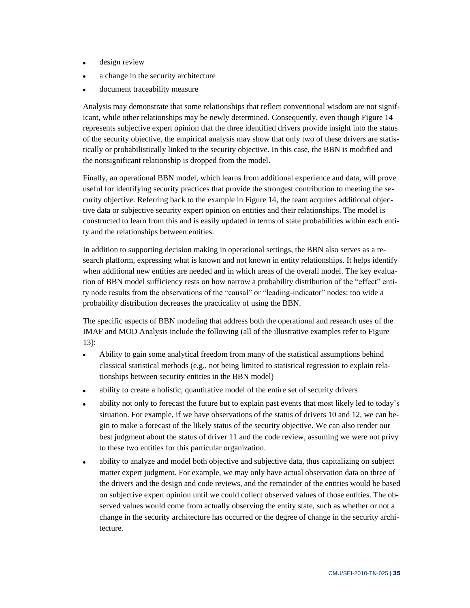- $\bullet$ design review
- a change in the security architecture  $\bullet$
- document traceability measure

Analysis may demonstrate that some relationships that reflect conventional wisdom are not significant, while other relationships may be newly determined. Consequently, even though [Figure 14](#page-45-0) represents subjective expert opinion that the three identified drivers provide insight into the status of the security objective, the empirical analysis may show that only two of these drivers are statistically or probabilistically linked to the security objective. In this case, the BBN is modified and the nonsignificant relationship is dropped from the model.

Finally, an operational BBN model, which learns from additional experience and data, will prove useful for identifying security practices that provide the strongest contribution to meeting the security objective. Referring back to the example in [Figure 14,](#page-45-0) the team acquires additional objective data or subjective security expert opinion on entities and their relationships. The model is constructed to learn from this and is easily updated in terms of state probabilities within each entity and the relationships between entities.

In addition to supporting decision making in operational settings, the BBN also serves as a research platform, expressing what is known and not known in entity relationships. It helps identify when additional new entities are needed and in which areas of the overall model. The key evaluation of BBN model sufficiency rests on how narrow a probability distribution of the "effect" entity node results from the observations of the "causal" or "leading-indicator" nodes: too wide a probability distribution decreases the practicality of using the BBN.

The specific aspects of BBN modeling that address both the operational and research uses of the IMAF and MOD Analysis include the following (all of the illustrative examples refer to Figure 13):

- $\bullet$ Ability to gain some analytical freedom from many of the statistical assumptions behind classical statistical methods (e.g., not being limited to statistical regression to explain relationships between security entities in the BBN model)
- ability to create a holistic, quantitative model of the entire set of security drivers  $\bullet$
- ability not only to forecast the future but to explain past events that most likely led to today's  $\bullet$ situation. For example, if we have observations of the status of drivers 10 and 12, we can begin to make a forecast of the likely status of the security objective. We can also render our best judgment about the status of driver 11 and the code review, assuming we were not privy to these two entities for this particular organization.
- ability to analyze and model both objective and subjective data, thus capitalizing on subject  $\bullet$ matter expert judgment. For example, we may only have actual observation data on three of the drivers and the design and code reviews, and the remainder of the entities would be based on subjective expert opinion until we could collect observed values of those entities. The observed values would come from actually observing the entity state, such as whether or not a change in the security architecture has occurred or the degree of change in the security architecture.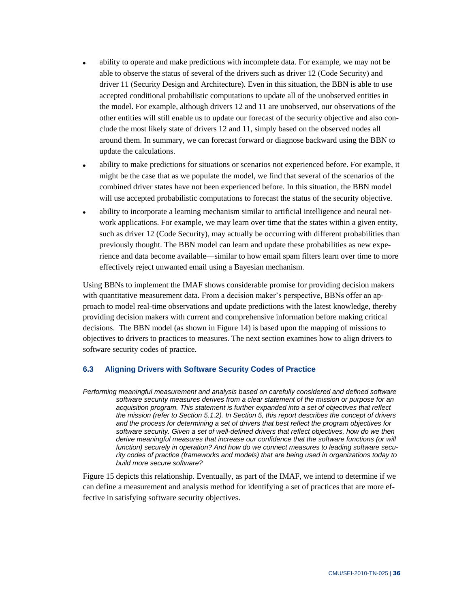- $\bullet$ ability to operate and make predictions with incomplete data. For example, we may not be able to observe the status of several of the drivers such as driver 12 (Code Security) and driver 11 (Security Design and Architecture). Even in this situation, the BBN is able to use accepted conditional probabilistic computations to update all of the unobserved entities in the model. For example, although drivers 12 and 11 are unobserved, our observations of the other entities will still enable us to update our forecast of the security objective and also conclude the most likely state of drivers 12 and 11, simply based on the observed nodes all around them. In summary, we can forecast forward or diagnose backward using the BBN to update the calculations.
- ability to make predictions for situations or scenarios not experienced before. For example, it  $\bullet$ might be the case that as we populate the model, we find that several of the scenarios of the combined driver states have not been experienced before. In this situation, the BBN model will use accepted probabilistic computations to forecast the status of the security objective.
- ability to incorporate a learning mechanism similar to artificial intelligence and neural net- $\bullet$ work applications. For example, we may learn over time that the states within a given entity, such as driver 12 (Code Security), may actually be occurring with different probabilities than previously thought. The BBN model can learn and update these probabilities as new experience and data become available—similar to how email spam filters learn over time to more effectively reject unwanted email using a Bayesian mechanism.

Using BBNs to implement the IMAF shows considerable promise for providing decision makers with quantitative measurement data. From a decision maker's perspective, BBNs offer an approach to model real-time observations and update predictions with the latest knowledge, thereby providing decision makers with current and comprehensive information before making critical decisions. The BBN model (as shown i[n Figure 14\)](#page-45-0) is based upon the mapping of missions to objectives to drivers to practices to measures. The next section examines how to align drivers to software security codes of practice.

# <span id="page-47-0"></span>**6.3 Aligning Drivers with Software Security Codes of Practice**

*Performing meaningful measurement and analysis based on carefully considered and defined software software security measures derives from a clear statement of the mission or purpose for an acquisition program. This statement is further expanded into a set of objectives that reflect the mission (refer to Section 5.1.2). In Section 5, this report describes the concept of drivers and the process for determining a set of drivers that best reflect the program objectives for software security. Given a set of well-defined drivers that reflect objectives, how do we then derive meaningful measures that increase our confidence that the software functions (or will function) securely in operation? And how do we connect measures to leading software security codes of practice (frame[works and models\) that are being used in organizations today to](#page-48-0)  build more secure software?*

[Figure 15](#page-48-0) depicts this relationship. Eventually, as part of the IMAF, we intend to determine if we can define a measurement and analysis method for identifying a set of practices that are more effective in satisfying software security objectives.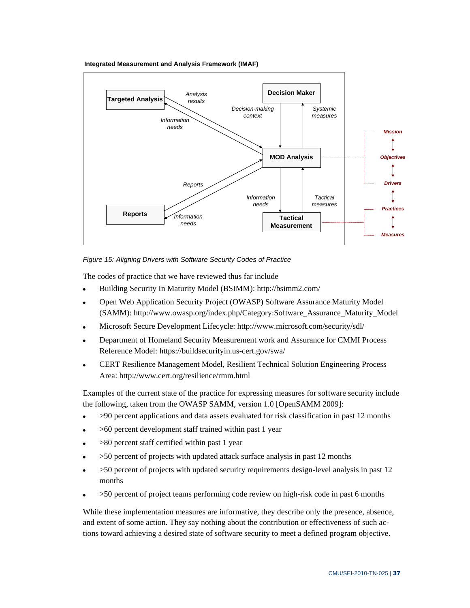



<span id="page-48-0"></span>*Figure 15: Aligning Drivers with Software Security Codes of Practice*

The codes of practice that we have reviewed thus far include

- Building Security In Maturity Model (BSIMM): <http://bsimm2.com/>  $\bullet$
- Open Web Application Security Project (OWASP) Software Assurance Maturity Model (SAMM): [http://www.owasp.org/index.php/Category:Software\\_Assurance\\_Maturity\\_Model](http://www.owasp.org/index.php/Category:Software_Assurance_Maturity_Model)
- Microsoft Secure Development Lifecycle:<http://www.microsoft.com/security/sdl/>  $\bullet$
- Department of Homeland Security Measurement work and Assurance for CMMI Process  $\bullet$ Reference Model[: https://buildsecurityin.us-cert.gov/swa/](https://buildsecurityin.us-cert.gov/swa/)
- CERT Resilience Management Model, Resilient Technical Solution Engineering Process  $\bullet$ Area: <http://www.cert.org/resilience/rmm.html>

Examples of the current state of the practice for expressing measures for software security include the following, taken from the OWASP SAMM, version 1.0 [OpenSAMM 2009]:

- >90 percent applications and data assets evaluated for risk classification in past 12 months  $\bullet$
- >60 percent development staff trained within past 1 year  $\bullet$
- >80 percent staff certified within past 1 year  $\bullet$
- >50 percent of projects with updated attack surface analysis in past 12 months  $\bullet$
- >50 percent of projects with updated security requirements design-level analysis in past 12  $\bullet$ months
- >50 percent of project teams performing code review on high-risk code in past 6 months

While these implementation measures are informative, they describe only the presence, absence, and extent of some action. They say nothing about the contribution or effectiveness of such actions toward achieving a desired state of software security to meet a defined program objective.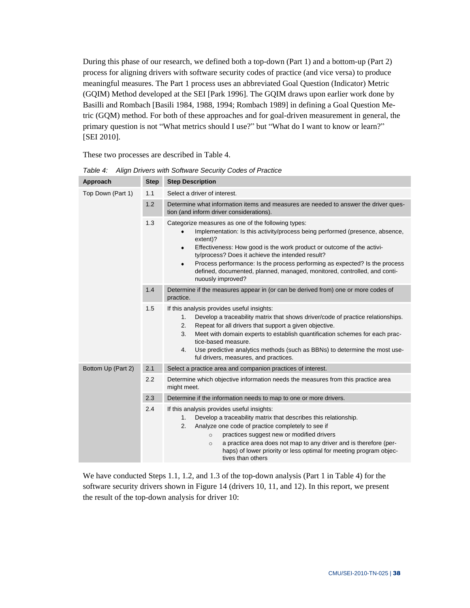During this phase of our research, we defined both a top-down (Part 1) and a bottom-up (Part 2) process for aligning drivers with software security codes of practice (and vice versa) to produce meaningful measures. The Part 1 process uses an abbreviated Goal Question (Indicator) Metric (GQIM) Method developed at the SEI [Park 1996]. The GQIM draws upon earlier work done by Basilli and Rombach [Basili 1984, 1988, 1994; Rombach 1989] in defining a Goal Question Metric (GQM) method. For both of these approaches and for goal-driven measurement in general, the primary question is not "What metrics should I use?" but "What do I want to know or learn?" [SEI 2010].

These two processes are described in [Table 4.](#page-49-0)

| Approach           | <b>Step</b> | <b>Step Description</b>                                                                                                                                                                                                                                                                                                                                                                                                                                                              |  |  |
|--------------------|-------------|--------------------------------------------------------------------------------------------------------------------------------------------------------------------------------------------------------------------------------------------------------------------------------------------------------------------------------------------------------------------------------------------------------------------------------------------------------------------------------------|--|--|
| Top Down (Part 1)  | 1.1         | Select a driver of interest.                                                                                                                                                                                                                                                                                                                                                                                                                                                         |  |  |
|                    | 1.2         | Determine what information items and measures are needed to answer the driver ques-<br>tion (and inform driver considerations).                                                                                                                                                                                                                                                                                                                                                      |  |  |
|                    | 1.3         | Categorize measures as one of the following types:<br>Implementation: Is this activity/process being performed (presence, absence,<br>extent)?<br>Effectiveness: How good is the work product or outcome of the activi-<br>$\bullet$<br>ty/process? Does it achieve the intended result?<br>Process performance: Is the process performing as expected? Is the process<br>$\bullet$<br>defined, documented, planned, managed, monitored, controlled, and conti-<br>nuously improved? |  |  |
|                    | 1.4         | Determine if the measures appear in (or can be derived from) one or more codes of<br>practice.                                                                                                                                                                                                                                                                                                                                                                                       |  |  |
|                    | 1.5         | If this analysis provides useful insights:<br>1 <sub>1</sub><br>Develop a traceability matrix that shows driver/code of practice relationships.<br>Repeat for all drivers that support a given objective.<br>2.<br>Meet with domain experts to establish quantification schemes for each prac-<br>3.<br>tice-based measure.<br>Use predictive analytics methods (such as BBNs) to determine the most use-<br>4.<br>ful drivers, measures, and practices.                             |  |  |
| Bottom Up (Part 2) | 2.1         | Select a practice area and companion practices of interest.                                                                                                                                                                                                                                                                                                                                                                                                                          |  |  |
|                    | 2.2         | Determine which objective information needs the measures from this practice area<br>might meet.                                                                                                                                                                                                                                                                                                                                                                                      |  |  |
|                    | 2.3         | Determine if the information needs to map to one or more drivers.                                                                                                                                                                                                                                                                                                                                                                                                                    |  |  |
|                    | 2.4         | If this analysis provides useful insights:<br>Develop a traceability matrix that describes this relationship.<br>1.<br>Analyze one code of practice completely to see if<br>2.<br>practices suggest new or modified drivers<br>$\circ$<br>a practice area does not map to any driver and is therefore (per-<br>$\circ$<br>haps) of lower priority or less optimal for meeting program objec-<br>tives than others                                                                    |  |  |

<span id="page-49-0"></span>*Table 4: Align Drivers with Software Security Codes of Practice*

We have conducted Steps 1.1, 1.2, and 1.3 of the top-down analysis (Part 1 in [Table 4\)](#page-49-0) for the software security drivers shown in [Figure 14](#page-45-0) (drivers 10, 11, and 12). In this report, we present the result of the top-down analysis for driver 10: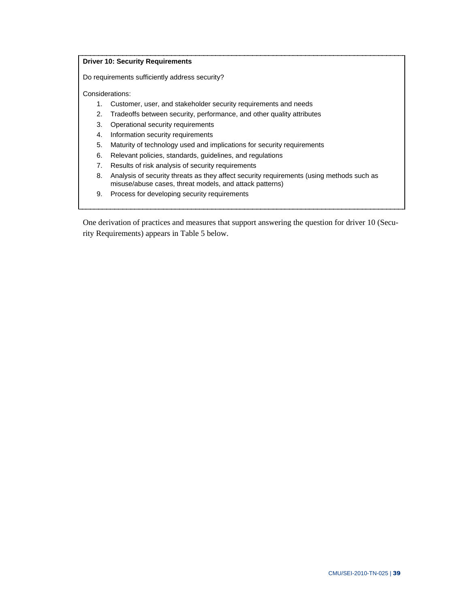### **Driver 10: Security Requirements**

Do requirements sufficiently address security?

#### Considerations:

- 1. Customer, user, and stakeholder security requirements and needs
- 2. Tradeoffs between security, performance, and other quality attributes
- 3. Operational security requirements
- 4. Information security requirements
- 5. Maturity of technology used and implications for security requirements
- 6. Relevant policies, standards, guidelines, and regulations
- 7. Results of risk analysis of security requirements
- 8. Analysis of security threats as they affect security requirements (using methods such as misuse/abuse cases, threat models, and attack patterns)

9. Process for developing security requirements

One derivation of practices and measures that support answering the question for driver 10 (Security Requirements) appears in [Table 5](#page-51-0) below.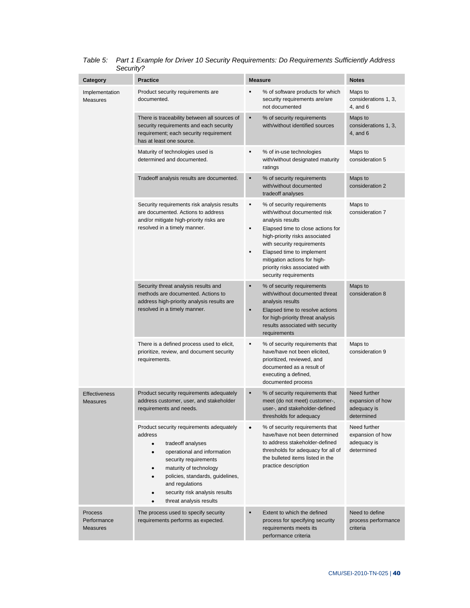| <b>Practice</b><br><b>Notes</b><br>Category<br><b>Measure</b><br>Maps to<br>Product security requirements are<br>% of software products for which<br>п<br>Implementation<br>documented.<br>security requirements are/are<br>considerations 1, 3,<br><b>Measures</b><br>not documented<br>4. and 6<br>٠<br>There is traceability between all sources of<br>% of security requirements<br>Maps to<br>security requirements and each security<br>with/without identified sources<br>considerations 1, 3,<br>requirement; each security requirement<br>4, and 6<br>has at least one source.<br>Maturity of technologies used is<br>% of in-use technologies<br>Maps to<br>$\blacksquare$<br>determined and documented.<br>with/without designated maturity<br>consideration 5<br>ratings<br>Tradeoff analysis results are documented.<br>% of security requirements<br>Maps to<br>٠<br>with/without documented<br>consideration 2<br>tradeoff analyses<br>Security requirements risk analysis results<br>% of security requirements<br>Maps to<br>٠<br>are documented. Actions to address<br>with/without documented risk<br>consideration 7<br>and/or mitigate high-priority risks are<br>analysis results<br>resolved in a timely manner.<br>Elapsed time to close actions for<br>$\blacksquare$<br>high-priority risks associated<br>with security requirements<br>Elapsed time to implement<br>$\blacksquare$<br>mitigation actions for high-<br>priority risks associated with<br>security requirements<br>Security threat analysis results and<br>% of security requirements<br>Maps to<br>٠<br>methods are documented. Actions to<br>with/without documented threat<br>consideration 8<br>address high-priority analysis results are<br>analysis results<br>resolved in a timely manner.<br>E<br>Elapsed time to resolve actions<br>for high-priority threat analysis<br>results associated with security<br>requirements<br>There is a defined process used to elicit,<br>% of security requirements that<br>Maps to<br>٠<br>prioritize, review, and document security<br>have/have not been elicited,<br>consideration 9<br>prioritized, reviewed, and<br>requirements.<br>documented as a result of<br>executing a defined,<br>documented process<br>Need further<br>Product security requirements adequately<br>% of security requirements that<br>٠<br><b>Effectiveness</b><br>address customer, user, and stakeholder<br>meet (do not meet) customer-,<br>expansion of how<br><b>Measures</b><br>requirements and needs.<br>user-, and stakeholder-defined<br>adequacy is<br>thresholds for adequacy<br>determined<br>Product security requirements adequately<br>% of security requirements that<br>Need further<br>have/have not been determined<br>expansion of how<br>address<br>to address stakeholder-defined<br>adequacy is<br>tradeoff analyses<br>$\bullet$<br>thresholds for adequacy for all of<br>determined<br>operational and information<br>$\bullet$<br>the bulleted items listed in the<br>security requirements<br>practice description<br>maturity of technology<br>$\bullet$<br>policies, standards, guidelines,<br>$\bullet$<br>and regulations<br>security risk analysis results<br>threat analysis results<br>Process<br>The process used to specify security<br>E<br>Extent to which the defined<br>Need to define<br>Performance<br>requirements performs as expected.<br>process for specifying security<br>process performance<br>requirements meets its<br>criteria<br><b>Measures</b><br>performance criteria | Security? |  |  |  |  |
|-----------------------------------------------------------------------------------------------------------------------------------------------------------------------------------------------------------------------------------------------------------------------------------------------------------------------------------------------------------------------------------------------------------------------------------------------------------------------------------------------------------------------------------------------------------------------------------------------------------------------------------------------------------------------------------------------------------------------------------------------------------------------------------------------------------------------------------------------------------------------------------------------------------------------------------------------------------------------------------------------------------------------------------------------------------------------------------------------------------------------------------------------------------------------------------------------------------------------------------------------------------------------------------------------------------------------------------------------------------------------------------------------------------------------------------------------------------------------------------------------------------------------------------------------------------------------------------------------------------------------------------------------------------------------------------------------------------------------------------------------------------------------------------------------------------------------------------------------------------------------------------------------------------------------------------------------------------------------------------------------------------------------------------------------------------------------------------------------------------------------------------------------------------------------------------------------------------------------------------------------------------------------------------------------------------------------------------------------------------------------------------------------------------------------------------------------------------------------------------------------------------------------------------------------------------------------------------------------------------------------------------------------------------------------------------------------------------------------------------------------------------------------------------------------------------------------------------------------------------------------------------------------------------------------------------------------------------------------------------------------------------------------------------------------------------------------------------------------------------------------------------------------------------------------------------------------------------------------------------------------------------------------------------------------------------------------------------------------------------------------------------------------------------------------------------------------------------------------------------------------------------------------------------------------------|-----------|--|--|--|--|
|                                                                                                                                                                                                                                                                                                                                                                                                                                                                                                                                                                                                                                                                                                                                                                                                                                                                                                                                                                                                                                                                                                                                                                                                                                                                                                                                                                                                                                                                                                                                                                                                                                                                                                                                                                                                                                                                                                                                                                                                                                                                                                                                                                                                                                                                                                                                                                                                                                                                                                                                                                                                                                                                                                                                                                                                                                                                                                                                                                                                                                                                                                                                                                                                                                                                                                                                                                                                                                                                                                                                                     |           |  |  |  |  |
|                                                                                                                                                                                                                                                                                                                                                                                                                                                                                                                                                                                                                                                                                                                                                                                                                                                                                                                                                                                                                                                                                                                                                                                                                                                                                                                                                                                                                                                                                                                                                                                                                                                                                                                                                                                                                                                                                                                                                                                                                                                                                                                                                                                                                                                                                                                                                                                                                                                                                                                                                                                                                                                                                                                                                                                                                                                                                                                                                                                                                                                                                                                                                                                                                                                                                                                                                                                                                                                                                                                                                     |           |  |  |  |  |
|                                                                                                                                                                                                                                                                                                                                                                                                                                                                                                                                                                                                                                                                                                                                                                                                                                                                                                                                                                                                                                                                                                                                                                                                                                                                                                                                                                                                                                                                                                                                                                                                                                                                                                                                                                                                                                                                                                                                                                                                                                                                                                                                                                                                                                                                                                                                                                                                                                                                                                                                                                                                                                                                                                                                                                                                                                                                                                                                                                                                                                                                                                                                                                                                                                                                                                                                                                                                                                                                                                                                                     |           |  |  |  |  |
|                                                                                                                                                                                                                                                                                                                                                                                                                                                                                                                                                                                                                                                                                                                                                                                                                                                                                                                                                                                                                                                                                                                                                                                                                                                                                                                                                                                                                                                                                                                                                                                                                                                                                                                                                                                                                                                                                                                                                                                                                                                                                                                                                                                                                                                                                                                                                                                                                                                                                                                                                                                                                                                                                                                                                                                                                                                                                                                                                                                                                                                                                                                                                                                                                                                                                                                                                                                                                                                                                                                                                     |           |  |  |  |  |
|                                                                                                                                                                                                                                                                                                                                                                                                                                                                                                                                                                                                                                                                                                                                                                                                                                                                                                                                                                                                                                                                                                                                                                                                                                                                                                                                                                                                                                                                                                                                                                                                                                                                                                                                                                                                                                                                                                                                                                                                                                                                                                                                                                                                                                                                                                                                                                                                                                                                                                                                                                                                                                                                                                                                                                                                                                                                                                                                                                                                                                                                                                                                                                                                                                                                                                                                                                                                                                                                                                                                                     |           |  |  |  |  |
|                                                                                                                                                                                                                                                                                                                                                                                                                                                                                                                                                                                                                                                                                                                                                                                                                                                                                                                                                                                                                                                                                                                                                                                                                                                                                                                                                                                                                                                                                                                                                                                                                                                                                                                                                                                                                                                                                                                                                                                                                                                                                                                                                                                                                                                                                                                                                                                                                                                                                                                                                                                                                                                                                                                                                                                                                                                                                                                                                                                                                                                                                                                                                                                                                                                                                                                                                                                                                                                                                                                                                     |           |  |  |  |  |
|                                                                                                                                                                                                                                                                                                                                                                                                                                                                                                                                                                                                                                                                                                                                                                                                                                                                                                                                                                                                                                                                                                                                                                                                                                                                                                                                                                                                                                                                                                                                                                                                                                                                                                                                                                                                                                                                                                                                                                                                                                                                                                                                                                                                                                                                                                                                                                                                                                                                                                                                                                                                                                                                                                                                                                                                                                                                                                                                                                                                                                                                                                                                                                                                                                                                                                                                                                                                                                                                                                                                                     |           |  |  |  |  |
|                                                                                                                                                                                                                                                                                                                                                                                                                                                                                                                                                                                                                                                                                                                                                                                                                                                                                                                                                                                                                                                                                                                                                                                                                                                                                                                                                                                                                                                                                                                                                                                                                                                                                                                                                                                                                                                                                                                                                                                                                                                                                                                                                                                                                                                                                                                                                                                                                                                                                                                                                                                                                                                                                                                                                                                                                                                                                                                                                                                                                                                                                                                                                                                                                                                                                                                                                                                                                                                                                                                                                     |           |  |  |  |  |
|                                                                                                                                                                                                                                                                                                                                                                                                                                                                                                                                                                                                                                                                                                                                                                                                                                                                                                                                                                                                                                                                                                                                                                                                                                                                                                                                                                                                                                                                                                                                                                                                                                                                                                                                                                                                                                                                                                                                                                                                                                                                                                                                                                                                                                                                                                                                                                                                                                                                                                                                                                                                                                                                                                                                                                                                                                                                                                                                                                                                                                                                                                                                                                                                                                                                                                                                                                                                                                                                                                                                                     |           |  |  |  |  |
|                                                                                                                                                                                                                                                                                                                                                                                                                                                                                                                                                                                                                                                                                                                                                                                                                                                                                                                                                                                                                                                                                                                                                                                                                                                                                                                                                                                                                                                                                                                                                                                                                                                                                                                                                                                                                                                                                                                                                                                                                                                                                                                                                                                                                                                                                                                                                                                                                                                                                                                                                                                                                                                                                                                                                                                                                                                                                                                                                                                                                                                                                                                                                                                                                                                                                                                                                                                                                                                                                                                                                     |           |  |  |  |  |
|                                                                                                                                                                                                                                                                                                                                                                                                                                                                                                                                                                                                                                                                                                                                                                                                                                                                                                                                                                                                                                                                                                                                                                                                                                                                                                                                                                                                                                                                                                                                                                                                                                                                                                                                                                                                                                                                                                                                                                                                                                                                                                                                                                                                                                                                                                                                                                                                                                                                                                                                                                                                                                                                                                                                                                                                                                                                                                                                                                                                                                                                                                                                                                                                                                                                                                                                                                                                                                                                                                                                                     |           |  |  |  |  |

<span id="page-51-0"></span>*Table 5: Part 1 Example for Driver 10 Security Requirements: Do Requirements Sufficiently Address Security?*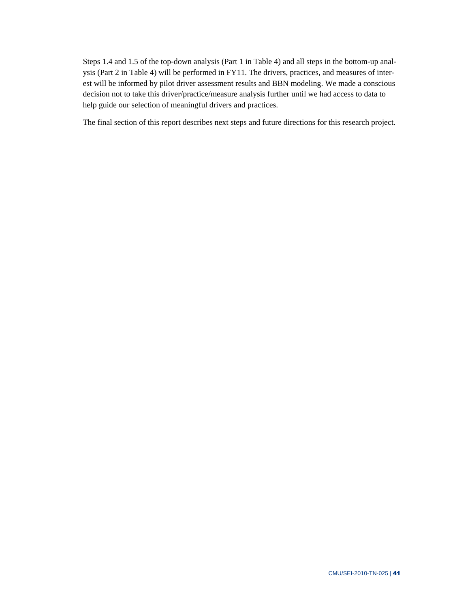Steps 1.4 and 1.5 of the top-down analysis (Part 1 in [Table 4\)](#page-49-0) and all steps in the bottom-up analysis (Part 2 i[n Table 4\)](#page-49-0) will be performed in FY11. The drivers, practices, and measures of interest will be informed by pilot driver assessment results and BBN modeling. We made a conscious decision not to take this driver/practice/measure analysis further until we had access to data to help guide our selection of meaningful drivers and practices.

The final section of this report describes next steps and future directions for this research project.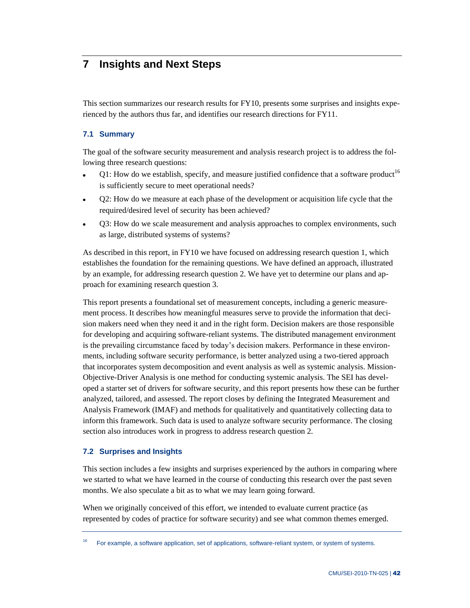# **7 Insights and Next Steps**

This section summarizes our research results for FY10, presents some surprises and insights experienced by the authors thus far, and identifies our research directions for FY11.

# **7.1 Summary**

The goal of the software security measurement and analysis research project is to address the following three research questions:

- Q1: How do we establish, specify, and measure justified confidence that a software product<sup>16</sup>  $\bullet$ is sufficiently secure to meet operational needs?
- Q2: How do we measure at each phase of the development or acquisition life cycle that the  $\bullet$ required/desired level of security has been achieved?
- Q3: How do we scale measurement and analysis approaches to complex environments, such  $\bullet$ as large, distributed systems of systems?

As described in this report, in FY10 we have focused on addressing research question 1, which establishes the foundation for the remaining questions. We have defined an approach, illustrated by an example, for addressing research question 2. We have yet to determine our plans and approach for examining research question 3.

This report presents a foundational set of measurement concepts, including a generic measurement process. It describes how meaningful measures serve to provide the information that decision makers need when they need it and in the right form. Decision makers are those responsible for developing and acquiring software-reliant systems. The distributed management environment is the prevailing circumstance faced by today's decision makers. Performance in these environments, including software security performance, is better analyzed using a two-tiered approach that incorporates system decomposition and event analysis as well as systemic analysis. Mission-Objective-Driver Analysis is one method for conducting systemic analysis. The SEI has developed a starter set of drivers for software security, and this report presents how these can be further analyzed, tailored, and assessed. The report closes by defining the Integrated Measurement and Analysis Framework (IMAF) and methods for qualitatively and quantitatively collecting data to inform this framework. Such data is used to analyze software security performance. The closing section also introduces work in progress to address research question 2.

# **7.2 Surprises and Insights**

This section includes a few insights and surprises experienced by the authors in comparing where we started to what we have learned in the course of conducting this research over the past seven months. We also speculate a bit as to what we may learn going forward.

When we originally conceived of this effort, we intended to evaluate current practice (as represented by codes of practice for software security) and see what common themes emerged.

<sup>16</sup> For example, a software application, set of applications, software-reliant system, or system of systems.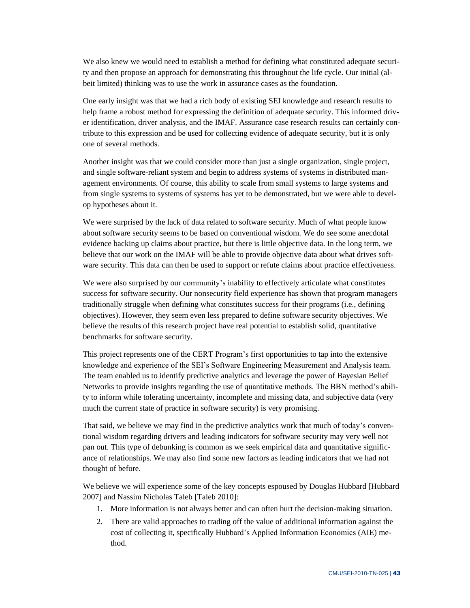We also knew we would need to establish a method for defining what constituted adequate security and then propose an approach for demonstrating this throughout the life cycle. Our initial (albeit limited) thinking was to use the work in assurance cases as the foundation.

One early insight was that we had a rich body of existing SEI knowledge and research results to help frame a robust method for expressing the definition of adequate security. This informed driver identification, driver analysis, and the IMAF. Assurance case research results can certainly contribute to this expression and be used for collecting evidence of adequate security, but it is only one of several methods.

Another insight was that we could consider more than just a single organization, single project, and single software-reliant system and begin to address systems of systems in distributed management environments. Of course, this ability to scale from small systems to large systems and from single systems to systems of systems has yet to be demonstrated, but we were able to develop hypotheses about it.

We were surprised by the lack of data related to software security. Much of what people know about software security seems to be based on conventional wisdom. We do see some anecdotal evidence backing up claims about practice, but there is little objective data. In the long term, we believe that our work on the IMAF will be able to provide objective data about what drives software security. This data can then be used to support or refute claims about practice effectiveness.

We were also surprised by our community's inability to effectively articulate what constitutes success for software security. Our nonsecurity field experience has shown that program managers traditionally struggle when defining what constitutes success for their programs (i.e., defining objectives). However, they seem even less prepared to define software security objectives. We believe the results of this research project have real potential to establish solid, quantitative benchmarks for software security.

This project represents one of the CERT Program's first opportunities to tap into the extensive knowledge and experience of the SEI's Software Engineering Measurement and Analysis team. The team enabled us to identify predictive analytics and leverage the power of Bayesian Belief Networks to provide insights regarding the use of quantitative methods. The BBN method's ability to inform while tolerating uncertainty, incomplete and missing data, and subjective data (very much the current state of practice in software security) is very promising.

That said, we believe we may find in the predictive analytics work that much of today's conventional wisdom regarding drivers and leading indicators for software security may very well not pan out. This type of debunking is common as we seek empirical data and quantitative significance of relationships. We may also find some new factors as leading indicators that we had not thought of before.

We believe we will experience some of the key concepts espoused by Douglas Hubbard [Hubbard 2007] and Nassim Nicholas Taleb [Taleb 2010]:

- 1. More information is not always better and can often hurt the decision-making situation.
- 2. There are valid approaches to trading off the value of additional information against the cost of collecting it, specifically Hubbard's Applied Information Economics (AIE) method.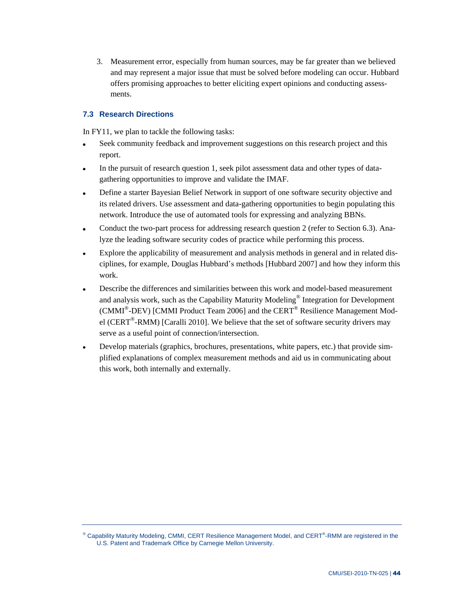3. Measurement error, especially from human sources, may be far greater than we believed and may represent a major issue that must be solved before modeling can occur. Hubbard offers promising approaches to better eliciting expert opinions and conducting assessments.

# **7.3 Research Directions**

In FY11, we plan to tackle the following tasks:

- Seek community feedback and improvement suggestions on this research project and this  $\bullet$ report.
- In the pursuit of research question 1, seek pilot assessment data and other types of data- $\bullet$ gathering opportunities to improve and validate the IMAF.
- Define a starter Bayesian Belief Network in support of one software security objective and  $\ddot{\phantom{a}}$ its related drivers. Use assessment and data-gathering opportunities to begin populating this network. Introduce the use of automated tools for expressing and analyzing BBNs.
- Conduct the two-part process for addressing research question 2 (refer to Section 6.3). Ana- $\bullet$ lyze the leading software security codes of practice while performing this process.
- Explore the applicability of measurement and analysis methods in general and in related dis- $\bullet$ ciplines, for example, Douglas Hubbard's methods [Hubbard 2007] and how they inform this work.
- Describe the differences and similarities between this work and model-based measurement  $\bullet$ and analysis work, such as the Capability Maturity Modeling<sup>®</sup> Integration for Development (CMMI<sup>®</sup>-DEV) [CMMI Product Team 2006] and the CERT<sup>®</sup> Resilience Management Model (CERT<sup>®</sup>-RMM) [Caralli 2010]. We believe that the set of software security drivers may serve as a useful point of connection/intersection.
- Develop materials (graphics, brochures, presentations, white papers, etc.) that provide sim- $\bullet$ plified explanations of complex measurement methods and aid us in communicating about this work, both internally and externally.

® Capability Maturity Modeling, CMMI, CERT Resilience Management Model, and CERT®-RMM are registered in the U.S. Patent and Trademark Office by Carnegie Mellon University.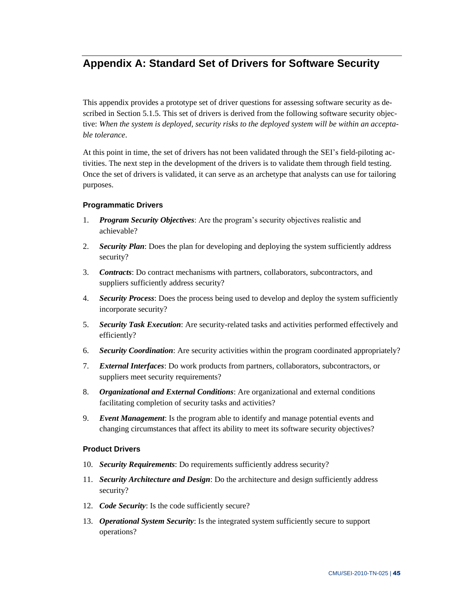# **Appendix A: Standard Set of Drivers for Software Security**

This appendix provides a prototype set of driver questions for assessing software security as described in Section 5.1.5. This set of drivers is derived from the following software security objective: *When the system is deployed, security risks to the deployed system will be within an acceptable tolerance*.

At this point in time, the set of drivers has not been validated through the SEI's field-piloting activities. The next step in the development of the drivers is to validate them through field testing. Once the set of drivers is validated, it can serve as an archetype that analysts can use for tailoring purposes.

# **Programmatic Drivers**

- 1. *Program Security Objectives*: Are the program's security objectives realistic and achievable?
- 2. *Security Plan*: Does the plan for developing and deploying the system sufficiently address security?
- 3. *Contracts*: Do contract mechanisms with partners, collaborators, subcontractors, and suppliers sufficiently address security?
- 4. *Security Process*: Does the process being used to develop and deploy the system sufficiently incorporate security?
- 5. *Security Task Execution*: Are security-related tasks and activities performed effectively and efficiently?
- 6. *Security Coordination*: Are security activities within the program coordinated appropriately?
- 7. *External Interfaces*: Do work products from partners, collaborators, subcontractors, or suppliers meet security requirements?
- 8. *Organizational and External Conditions*: Are organizational and external conditions facilitating completion of security tasks and activities?
- 9. *Event Management*: Is the program able to identify and manage potential events and changing circumstances that affect its ability to meet its software security objectives?

# **Product Drivers**

- 10. *Security Requirements*: Do requirements sufficiently address security?
- 11. *Security Architecture and Design*: Do the architecture and design sufficiently address security?
- 12. *Code Security*: Is the code sufficiently secure?
- 13. *Operational System Security*: Is the integrated system sufficiently secure to support operations?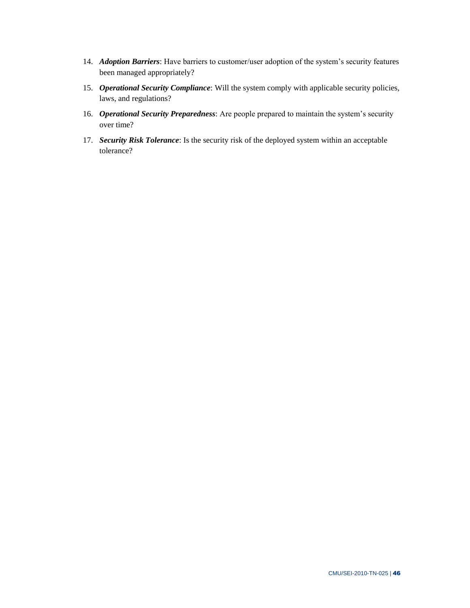- 14. *Adoption Barriers*: Have barriers to customer/user adoption of the system's security features been managed appropriately?
- 15. *Operational Security Compliance*: Will the system comply with applicable security policies, laws, and regulations?
- 16. *Operational Security Preparedness*: Are people prepared to maintain the system's security over time?
- 17. *Security Risk Tolerance*: Is the security risk of the deployed system within an acceptable tolerance?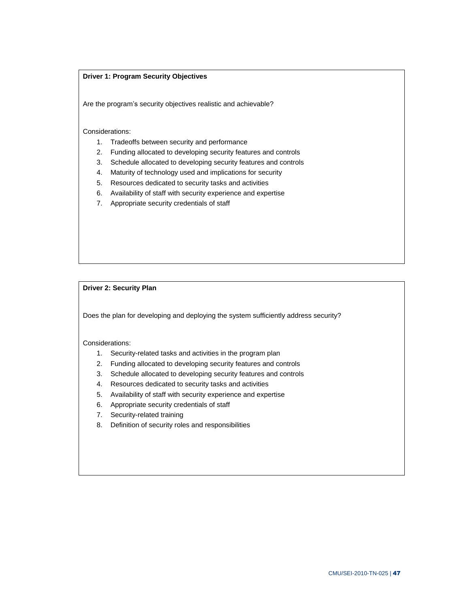## **Driver 1: Program Security Objectives**

Are the program's security objectives realistic and achievable?

Considerations:

- 1. Tradeoffs between security and performance
- 2. Funding allocated to developing security features and controls
- 3. Schedule allocated to developing security features and controls
- 4. Maturity of technology used and implications for security
- 5. Resources dedicated to security tasks and activities
- 6. Availability of staff with security experience and expertise
- 7. Appropriate security credentials of staff

# **Driver 2: Security Plan**

Does the plan for developing and deploying the system sufficiently address security?

- 1. Security-related tasks and activities in the program plan
- 2. Funding allocated to developing security features and controls
- 3. Schedule allocated to developing security features and controls
- 4. Resources dedicated to security tasks and activities
- 5. Availability of staff with security experience and expertise
- 6. Appropriate security credentials of staff
- 7. Security-related training
- 8. Definition of security roles and responsibilities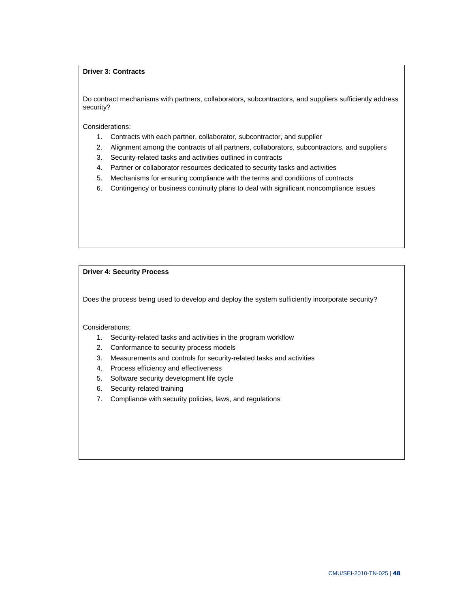### **Driver 3: Contracts**

Do contract mechanisms with partners, collaborators, subcontractors, and suppliers sufficiently address security?

Considerations:

- 1. Contracts with each partner, collaborator, subcontractor, and supplier
- 2. Alignment among the contracts of all partners, collaborators, subcontractors, and suppliers
- 3. Security-related tasks and activities outlined in contracts
- 4. Partner or collaborator resources dedicated to security tasks and activities
- 5. Mechanisms for ensuring compliance with the terms and conditions of contracts
- 6. Contingency or business continuity plans to deal with significant noncompliance issues

#### **Driver 4: Security Process**

Does the process being used to develop and deploy the system sufficiently incorporate security?

- 1. Security-related tasks and activities in the program workflow
- 2. Conformance to security process models
- 3. Measurements and controls for security-related tasks and activities
- 4. Process efficiency and effectiveness
- 5. Software security development life cycle
- 6. Security-related training
- 7. Compliance with security policies, laws, and regulations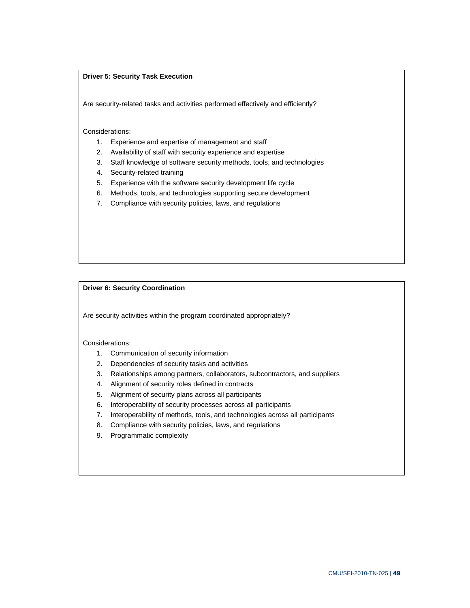## **Driver 5: Security Task Execution**

Are security-related tasks and activities performed effectively and efficiently?

Considerations:

- 1. Experience and expertise of management and staff
- 2. Availability of staff with security experience and expertise
- 3. Staff knowledge of software security methods, tools, and technologies
- 4. Security-related training
- 5. Experience with the software security development life cycle
- 6. Methods, tools, and technologies supporting secure development
- 7. Compliance with security policies, laws, and regulations

# **Driver 6: Security Coordination**

Are security activities within the program coordinated appropriately?

- 1. Communication of security information
- 2. Dependencies of security tasks and activities
- 3. Relationships among partners, collaborators, subcontractors, and suppliers
- 4. Alignment of security roles defined in contracts
- 5. Alignment of security plans across all participants
- 6. Interoperability of security processes across all participants
- 7. Interoperability of methods, tools, and technologies across all participants
- 8. Compliance with security policies, laws, and regulations
- 9. Programmatic complexity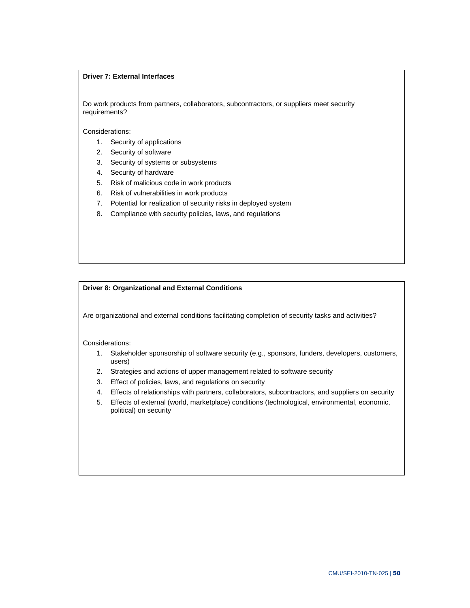# **Driver 7: External Interfaces**

Do work products from partners, collaborators, subcontractors, or suppliers meet security requirements?

Considerations:

- 1. Security of applications
- 2. Security of software
- 3. Security of systems or subsystems
- 4. Security of hardware
- 5. Risk of malicious code in work products
- 6. Risk of vulnerabilities in work products
- 7. Potential for realization of security risks in deployed system
- 8. Compliance with security policies, laws, and regulations

## **Driver 8: Organizational and External Conditions**

Are organizational and external conditions facilitating completion of security tasks and activities?

- 1. Stakeholder sponsorship of software security (e.g., sponsors, funders, developers, customers, users)
- 2. Strategies and actions of upper management related to software security
- 3. Effect of policies, laws, and regulations on security
- 4. Effects of relationships with partners, collaborators, subcontractors, and suppliers on security
- 5. Effects of external (world, marketplace) conditions (technological, environmental, economic, political) on security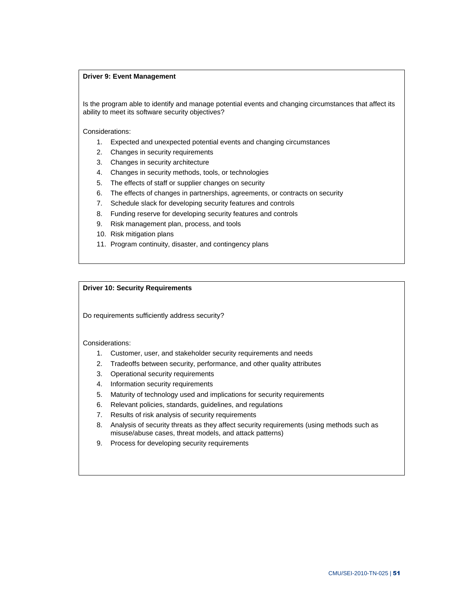#### **Driver 9: Event Management**

Is the program able to identify and manage potential events and changing circumstances that affect its ability to meet its software security objectives?

Considerations:

- 1. Expected and unexpected potential events and changing circumstances
- 2. Changes in security requirements
- 3. Changes in security architecture
- 4. Changes in security methods, tools, or technologies
- 5. The effects of staff or supplier changes on security
- 6. The effects of changes in partnerships, agreements, or contracts on security
- 7. Schedule slack for developing security features and controls
- 8. Funding reserve for developing security features and controls
- 9. Risk management plan, process, and tools
- 10. Risk mitigation plans
- 11. Program continuity, disaster, and contingency plans

#### **Driver 10: Security Requirements**

Do requirements sufficiently address security?

- 1. Customer, user, and stakeholder security requirements and needs
- 2. Tradeoffs between security, performance, and other quality attributes
- 3. Operational security requirements
- 4. Information security requirements
- 5. Maturity of technology used and implications for security requirements
- 6. Relevant policies, standards, guidelines, and regulations
- 7. Results of risk analysis of security requirements
- 8. Analysis of security threats as they affect security requirements (using methods such as misuse/abuse cases, threat models, and attack patterns)
- 9. Process for developing security requirements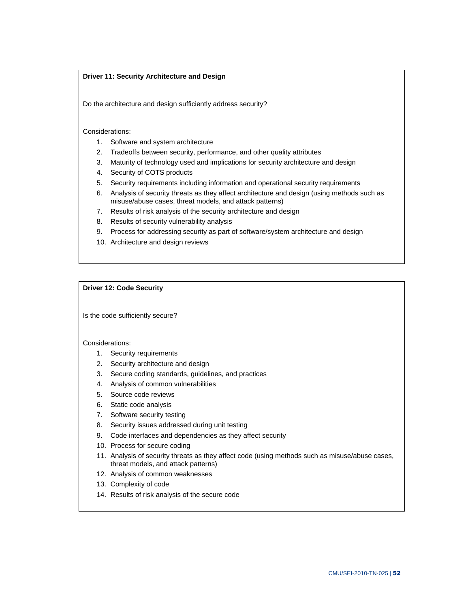#### **Driver 11: Security Architecture and Design**

Do the architecture and design sufficiently address security?

Considerations:

- 1. Software and system architecture
- 2. Tradeoffs between security, performance, and other quality attributes
- 3. Maturity of technology used and implications for security architecture and design
- 4. Security of COTS products
- 5. Security requirements including information and operational security requirements
- 6. Analysis of security threats as they affect architecture and design (using methods such as misuse/abuse cases, threat models, and attack patterns)
- 7. Results of risk analysis of the security architecture and design
- 8. Results of security vulnerability analysis
- 9. Process for addressing security as part of software/system architecture and design
- 10. Architecture and design reviews

## **Driver 12: Code Security**

Is the code sufficiently secure?

- 1. Security requirements
- 2. Security architecture and design
- 3. Secure coding standards, guidelines, and practices
- 4. Analysis of common vulnerabilities
- 5. Source code reviews
- 6. Static code analysis
- 7. Software security testing
- 8. Security issues addressed during unit testing
- 9. Code interfaces and dependencies as they affect security
- 10. Process for secure coding
- 11. Analysis of security threats as they affect code (using methods such as misuse/abuse cases, threat models, and attack patterns)
- 12. Analysis of common weaknesses
- 13. Complexity of code
- 14. Results of risk analysis of the secure code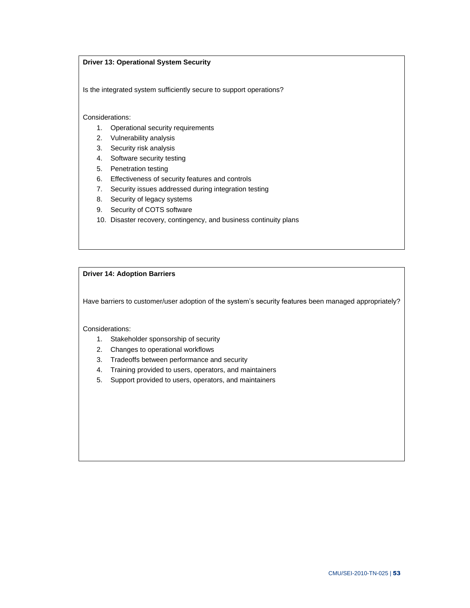### **Driver 13: Operational System Security**

Is the integrated system sufficiently secure to support operations?

Considerations:

- 1. Operational security requirements
- 2. Vulnerability analysis
- 3. Security risk analysis
- 4. Software security testing
- 5. Penetration testing
- 6. Effectiveness of security features and controls
- 7. Security issues addressed during integration testing
- 8. Security of legacy systems
- 9. Security of COTS software
- 10. Disaster recovery, contingency, and business continuity plans

#### **Driver 14: Adoption Barriers**

Have barriers to customer/user adoption of the system's security features been managed appropriately?

- 1. Stakeholder sponsorship of security
- 2. Changes to operational workflows
- 3. Tradeoffs between performance and security
- 4. Training provided to users, operators, and maintainers
- 5. Support provided to users, operators, and maintainers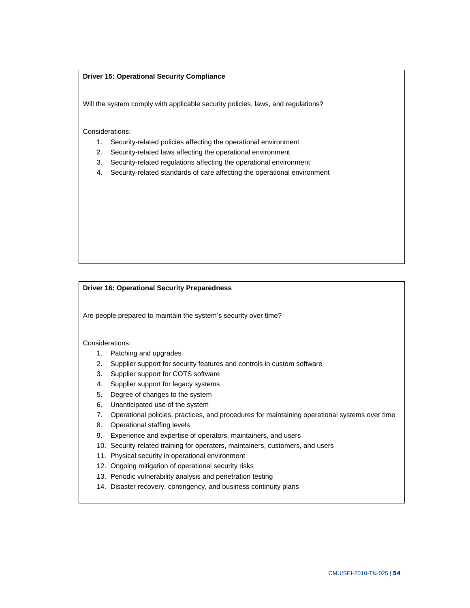### **Driver 15: Operational Security Compliance**

Will the system comply with applicable security policies, laws, and regulations?

Considerations:

- 1. Security-related policies affecting the operational environment
- 2. Security-related laws affecting the operational environment
- 3. Security-related regulations affecting the operational environment
- 4. Security-related standards of care affecting the operational environment

## **Driver 16: Operational Security Preparedness**

Are people prepared to maintain the system's security over time?

- 1. Patching and upgrades
- 2. Supplier support for security features and controls in custom software
- 3. Supplier support for COTS software
- 4. Supplier support for legacy systems
- 5. Degree of changes to the system
- 6. Unanticipated use of the system
- 7. Operational policies, practices, and procedures for maintaining operational systems over time
- 8. Operational staffing levels
- 9. Experience and expertise of operators, maintainers, and users
- 10. Security-related training for operators, maintainers, customers, and users
- 11. Physical security in operational environment
- 12. Ongoing mitigation of operational security risks
- 13. Periodic vulnerability analysis and penetration testing
- 14. Disaster recovery, contingency, and business continuity plans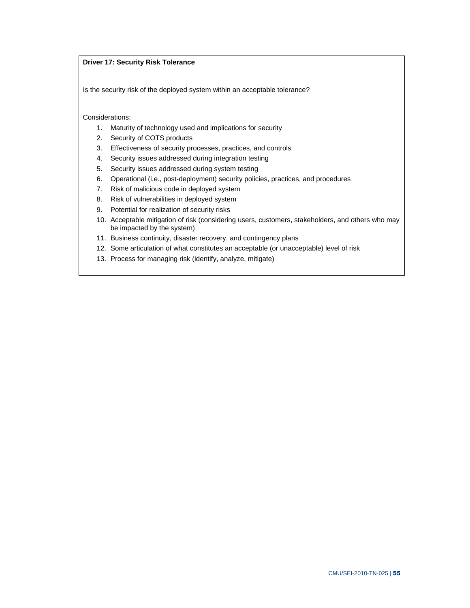### **Driver 17: Security Risk Tolerance**

Is the security risk of the deployed system within an acceptable tolerance?

- 1. Maturity of technology used and implications for security
- 2. Security of COTS products
- 3. Effectiveness of security processes, practices, and controls
- 4. Security issues addressed during integration testing
- 5. Security issues addressed during system testing
- 6. Operational (i.e., post-deployment) security policies, practices, and procedures
- 7. Risk of malicious code in deployed system
- 8. Risk of vulnerabilities in deployed system
- 9. Potential for realization of security risks
- 10. Acceptable mitigation of risk (considering users, customers, stakeholders, and others who may be impacted by the system)
- 11. Business continuity, disaster recovery, and contingency plans
- 12. Some articulation of what constitutes an acceptable (or unacceptable) level of risk
- 13. Process for managing risk (identify, analyze, mitigate)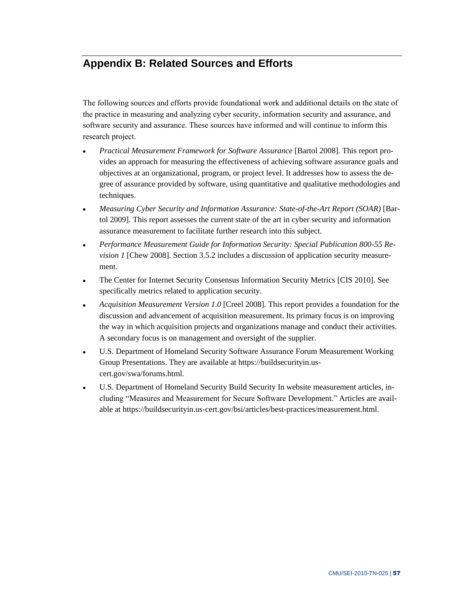# **Appendix B: Related Sources and Efforts**

The following sources and efforts provide foundational work and additional details on the state of the practice in measuring and analyzing cyber security, information security and assurance, and software security and assurance. These sources have informed and will continue to inform this research project.

- *Practical Measurement Framework for Software Assurance* [Bartol 2008]. This report pro- $\ddot{\phantom{0}}$ vides an approach for measuring the effectiveness of achieving software assurance goals and objectives at an organizational, program, or project level. It addresses how to assess the degree of assurance provided by software, using quantitative and qualitative methodologies and techniques.
- *Measuring Cyber Security and Information Assurance: State-of-the-Art Report (SOAR)* [Bar- $\bullet$ tol 2009]*.* This report assesses the current state of the art in cyber security and information assurance measurement to facilitate further research into this subject.
- *Performance Measurement Guide for Information Security: Special Publication 800-55 Re-* $\bullet$ *vision 1* [Chew 2008]*.* Section 3.5.2 includes a discussion of application security measurement.
- The Center for Internet Security Consensus Information Security Metrics [CIS 2010]. See  $\bullet$ specifically metrics related to application security.
- *Acquisition Measurement Version 1.0* [Creel 2008]*.* This report provides a foundation for the  $\bullet$ discussion and advancement of acquisition measurement. Its primary focus is on improving the way in which acquisition projects and organizations manage and conduct their activities. A secondary focus is on management and oversight of the supplier.
- U.S. Department of Homeland Security Software Assurance Forum Measurement Working  $\bullet$ Group Presentations. They are available a[t https://buildsecurityin.us](https://buildsecurityin.us-cert.gov/swa/forums.html)[cert.gov/swa/forums.html.](https://buildsecurityin.us-cert.gov/swa/forums.html)
- $\bullet$ U.S. Department of Homeland Security Build Security In website measurement articles, including "Measures and Measurement for Secure Software Development." Articles are available at [https://buildsecurityin.us-cert.gov/bsi/articles/best-practices/measurement.html.](https://buildsecurityin.us-cert.gov/bsi/articles/best-practices/measurement.html)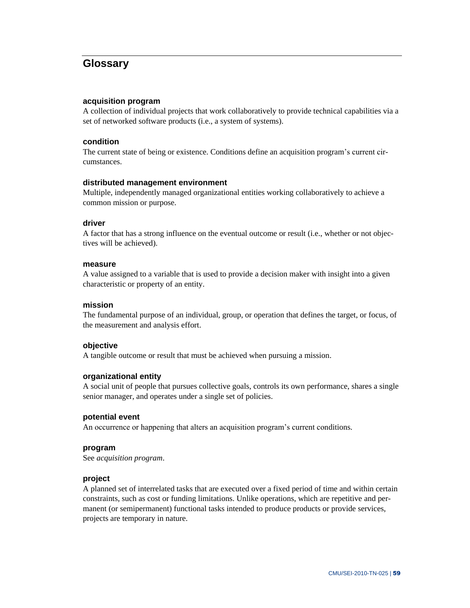# **Glossary**

# **acquisition program**

A collection of individual projects that work collaboratively to provide technical capabilities via a set of networked software products (i.e., a system of systems).

## **condition**

The current state of being or existence. Conditions define an acquisition program's current circumstances.

## **distributed management environment**

Multiple, independently managed organizational entities working collaboratively to achieve a common mission or purpose.

## **driver**

A factor that has a strong influence on the eventual outcome or result (i.e., whether or not objectives will be achieved).

#### **measure**

A value assigned to a variable that is used to provide a decision maker with insight into a given characteristic or property of an entity.

#### **mission**

The fundamental purpose of an individual, group, or operation that defines the target, or focus, of the measurement and analysis effort.

### **objective**

A tangible outcome or result that must be achieved when pursuing a mission.

#### **organizational entity**

A social unit of people that pursues collective goals, controls its own performance, shares a single senior manager, and operates under a single set of policies.

#### **potential event**

An occurrence or happening that alters an acquisition program's current conditions.

# **program**

See *acquisition program*.

#### **project**

A planned set of interrelated [tasks](http://www.businessdictionary.com/definition/task.html) that ar[e executed](http://www.businessdictionary.com/definition/executed.html) over a fixed [period](http://www.investorwords.com/3669/period.html) of time and within certain constraints, such as cost or funding limitations. Unlike operations, which are repetitive and permanent (or semipermanent) functional tasks intended to produce products or provide services, projects are temporary in nature.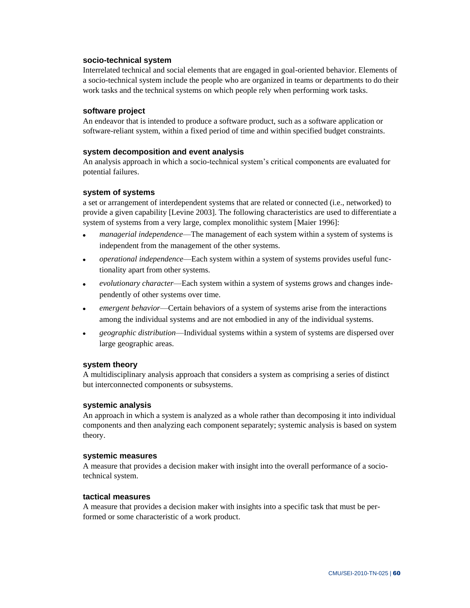# **socio-technical system**

Interrelated technical and social elements that are engaged in goal-oriented behavior. Elements of a socio-technical system include the people who are organized in teams or departments to do their work tasks and the technical systems on which people rely when performing work tasks.

#### **software project**

An endeavor that is intended to produce a software product, such as a software application or software-reliant system, within a fixed [period](http://www.investorwords.com/3669/period.html) of time and within specified budget constraints.

### **system decomposition and event analysis**

An analysis approach in which a socio-technical system's critical components are evaluated for potential failures.

#### **system of systems**

a set or arrangement of interdependent systems that are related or connected (i.e., networked) to provide a given capability [Levine 2003]. The following characteristics are used to differentiate a system of systems from a very large, complex monolithic system [Maier 1996]:

- *managerial independence*—The management of each system within a system of systems is  $\bullet$ independent from the management of the other systems.
- *operational independence*—Each system within a system of systems provides useful func- $\bullet$ tionality apart from other systems.
- *evolutionary character*—Each system within a system of systems grows and changes inde- $\bullet$ pendently of other systems over time.
- $\bullet$ *emergent behavior*—Certain behaviors of a system of systems arise from the interactions among the individual systems and are not embodied in any of the individual systems.
- *geographic distribution*—Individual systems within a system of systems are dispersed over large geographic areas.

#### **system theory**

A [multidisciplinary](http://en.wikipedia.org/wiki/Transdisciplinary) analysis [approach](http://en.wikipedia.org/wiki/Approach) that considers a [system](http://en.wikipedia.org/wiki/System) as comprising a series of distinct but interconnected components or subsystems.

## **systemic analysis**

An [approach](http://en.wikipedia.org/wiki/Approach) in which a system is analyzed as a whole rather than decomposing it into individual components and then analyzing each component separately; systemic analysis is based on system theory.

#### **systemic measures**

A measure that provides a decision maker with insight into the overall performance of a sociotechnical system.

# **tactical measures**

A measure that provides a decision maker with insights into a specific task that must be performed or some characteristic of a work product.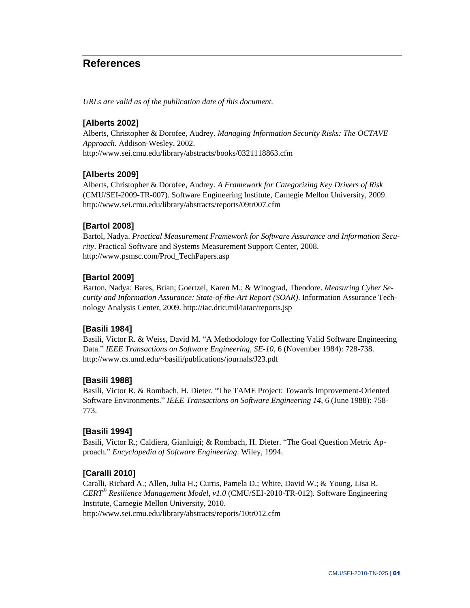# **References**

*URLs are valid as of the publication date of this document.*

#### **[Alberts 2002]**

Alberts, Christopher & Dorofee, Audrey. *Managing Information Security Risks: The OCTAVE Approach*. Addison-Wesley, 2002. <http://www.sei.cmu.edu/library/abstracts/books/0321118863.cfm>

### **[Alberts 2009]**

Alberts, Christopher & Dorofee, Audrey. *A Framework for Categorizing Key Drivers of Risk* (CMU/SEI-2009-TR-007). Software Engineering Institute, Carnegie Mellon University, 2009. <http://www.sei.cmu.edu/library/abstracts/reports/09tr007.cfm>

### **[Bartol 2008]**

Bartol, Nadya. *Practical Measurement Framework for Software Assurance and Information Security*. Practical Software and Systems Measurement Support Center, 2008. [http://www.psmsc.com/Prod\\_TechPapers.asp](http://www.psmsc.com/Prod_TechPapers.asp)

#### **[Bartol 2009]**

Barton, Nadya; Bates, Brian; Goertzel, Karen M.; & Winograd, Theodore. *Measuring Cyber Security and Information Assurance: State-of-the-Art Report (SOAR)*. Information Assurance Technology Analysis Center, 2009. <http://iac.dtic.mil/iatac/reports.jsp>

#### **[Basili 1984]**

Basili, Victor R. & Weiss, David M. "A Methodology for Collecting Valid Software Engineering Data.‖ *IEEE Transactions on Software Engineering, SE-10*, 6 (November 1984): 728-738. <http://www.cs.umd.edu/~basili/publications/journals/J23.pdf>

#### **[Basili 1988]**

Basili, Victor R. & Rombach, H. Dieter. "The TAME Project: Towards Improvement-Oriented Software Environments.‖ *IEEE Transactions on Software Engineering 14*, 6 (June 1988): 758- 773.

#### **[Basili 1994]**

Basili, Victor R.; Caldiera, Gianluigi; & Rombach, H. Dieter. "The Goal Question Metric Approach.‖ *Encyclopedia of Software Engineering*. Wiley, 1994.

# **[Caralli 2010]**

Caralli, Richard A.; Allen, Julia H.; Curtis, Pamela D.; White, David W.; & Young, Lisa R. *CERT® Resilience Management Model, v1.0* (CMU/SEI-2010-TR-012)*.* Software Engineering Institute, Carnegie Mellon University, 2010. <http://www.sei.cmu.edu/library/abstracts/reports/10tr012.cfm>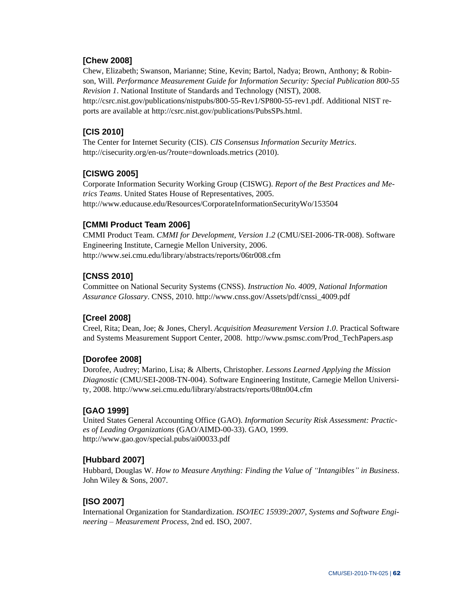### **[Chew 2008]**

Chew, Elizabeth; Swanson, Marianne; Stine, Kevin; Bartol, Nadya; Brown, Anthony; & Robinson, Will. *Performance Measurement Guide for Information Security: Special Publication 800-55 Revision 1*. National Institute of Standards and Technology (NIST), 2008. [http://csrc.nist.gov/publications/nistpubs/800-55-Rev1/SP800-55-rev1.pdf.](http://csrc.nist.gov/publications/nistpubs/800-55-Rev1/SP800-55-rev1.pdf) Additional NIST reports are available at [http://csrc.nist.gov/publications/PubsSPs.html.](http://csrc.nist.gov/publications/PubsSPs.html)

# **[CIS 2010]**

The Center for Internet Security (CIS). *CIS Consensus Information Security Metrics*. <http://cisecurity.org/en-us/?route=downloads.metrics> (2010).

# **[CISWG 2005]**

Corporate Information Security Working Group (CISWG). *[Report of the Best Practices and Me](http://www.educause.edu/LibraryDetailPage/666&ID=CSD3661)[trics Teams](http://www.educause.edu/LibraryDetailPage/666&ID=CSD3661)*. United States House of Representatives, 2005. <http://www.educause.edu/Resources/CorporateInformationSecurityWo/153504>

### **[CMMI Product Team 2006]**

CMMI Product Team. *CMMI for Development, Version 1.2* (CMU/SEI-2006-TR-008). Software Engineering Institute, Carnegie Mellon University, 2006. <http://www.sei.cmu.edu/library/abstracts/reports/06tr008.cfm>

### **[CNSS 2010]**

Committee on National Security Systems (CNSS). *Instruction No. 4009, National Information Assurance Glossary*. CNSS, 2010. [http://www.cnss.gov/Assets/pdf/cnssi\\_4009.pdf](http://www.cnss.gov/Assets/pdf/cnssi_4009.pdf)

#### **[Creel 2008]**

Creel, Rita; Dean, Joe; & Jones, Cheryl. *Acquisition Measurement Version 1.0*. Practical Software and Systems Measurement Support Center, 2008. [http://www.psmsc.com/Prod\\_TechPapers.asp](http://www.psmsc.com/Prod_TechPapers.asp)

#### **[Dorofee 2008]**

Dorofee, Audrey; Marino, Lisa; & Alberts, Christopher. *Lessons Learned Applying the Mission Diagnostic* (CMU/SEI-2008-TN-004). Software Engineering Institute, Carnegie Mellon University, 2008. <http://www.sei.cmu.edu/library/abstracts/reports/08tn004.cfm>

# **[GAO 1999]**

United States General Accounting Office (GAO). *Information Security Risk Assessment: Practices of Leading Organizations* (GAO/AIMD-00-33). GAO, 1999. <http://www.gao.gov/special.pubs/ai00033.pdf>

#### **[Hubbard 2007]**

Hubbard, Douglas W. *How to Measure Anything: Finding the Value of "Intangibles" in Business.* John Wiley & Sons, 2007.

#### **[ISO 2007]**

International Organization for Standardization. *ISO/IEC 15939:2007, Systems and Software Engineering – Measurement Process,* 2nd ed. ISO, 2007.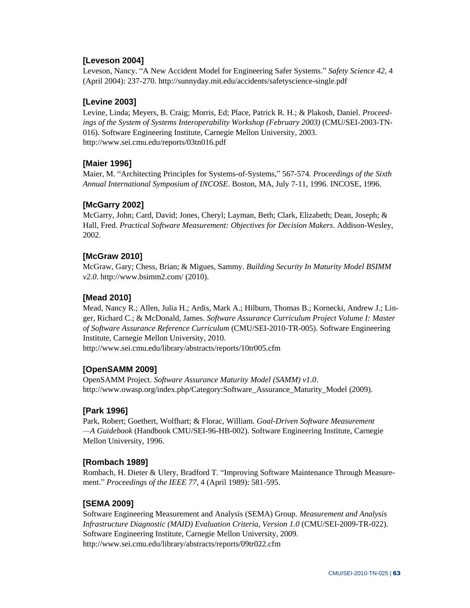### **[Leveson 2004]**

Leveson, Nancy. "A New Accident Model for Engineering Safer Systems." *Safety Science 42*, 4 (April 2004): 237-270. <http://sunnyday.mit.edu/accidents/safetyscience-single.pdf>

# **[Levine 2003]**

Levine, Linda; Meyers, B. Craig; Morris, Ed; Place, Patrick R. H.; & Plakosh, Daniel. *Proceedings of the System of Systems Interoperability Workshop (February 2003)* (CMU/SEI-2003-TN-016). Software Engineering Institute, Carnegie Mellon University, 2003. <http://www.sei.cmu.edu/reports/03tn016.pdf>

### **[Maier 1996]**

Maier, M. "Architecting Principles for Systems-of-Systems," 567-574. Proceedings of the Sixth *Annual International Symposium of INCOSE*. Boston, MA, July 7-11, 1996. INCOSE, 1996.

# **[McGarry 2002]**

McGarry, John; Card, David; Jones, Cheryl; Layman, Beth; Clark, Elizabeth; Dean, Joseph; & Hall, Fred. *Practical Software Measurement: Objectives for Decision Makers*. Addison-Wesley, 2002.

### **[McGraw 2010]**

McGraw, Gary; Chess, Brian; & Migues, Sammy. *Building Security In Maturity Model BSIMM v2.0*.<http://www.bsimm2.com/> (2010).

# **[Mead 2010]**

Mead, Nancy R.; Allen, Julia H.; Ardis, Mark A.; Hilburn, Thomas B.; Kornecki, Andrew J.; Linger, Richard C.; & McDonald, James. *Software Assurance Curriculum Project Volume I: Master of Software Assurance Reference Curriculum* (CMU/SEI-2010-TR-005). Software Engineering Institute, Carnegie Mellon University, 2010. <http://www.sei.cmu.edu/library/abstracts/reports/10tr005.cfm>

#### **[OpenSAMM 2009]**

OpenSAMM Project. *Software Assurance Maturity Model (SAMM) v1.0*. [http://www.owasp.org/index.php/Category:Software\\_Assurance\\_Maturity\\_Model](http://www.owasp.org/index.php/Category:Software_Assurance_Maturity_Model) (2009).

# **[Park 1996]**

Park, Robert; Goethert, Wolfhart; & Florac, William. *Goal-Driven Software Measurement —A Guidebook* (Handbook CMU/SEI-96-HB-002). Software Engineering Institute, Carnegie Mellon University, 1996.

#### **[Rombach 1989]**

Rombach, H. Dieter & Ulery, Bradford T. "Improving Software Maintenance Through Measurement.‖ *Proceedings of the IEEE 77*, 4 (April 1989): 581-595.

#### **[SEMA 2009]**

Software Engineering Measurement and Analysis (SEMA) Group. *Measurement and Analysis Infrastructure Diagnostic (MAID) Evaluation Criteria, Version 1.0* (CMU/SEI-2009-TR-022). Software Engineering Institute, Carnegie Mellon University, 2009. <http://www.sei.cmu.edu/library/abstracts/reports/09tr022.cfm>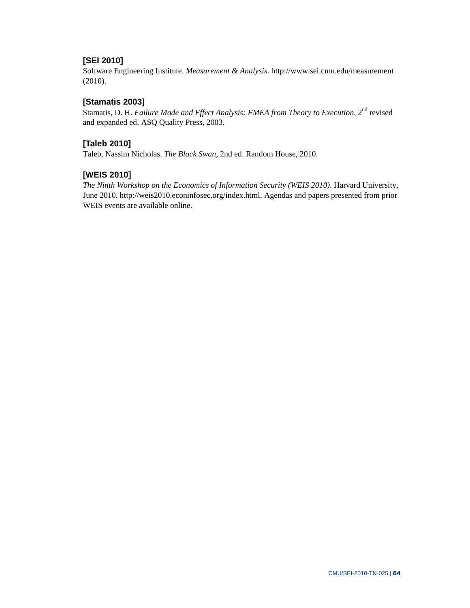# **[SEI 2010]**

Software Engineering Institute. *Measurement & Analysis*.<http://www.sei.cmu.edu/measurement> (2010).

### **[Stamatis 2003]**

Stamatis, D. H. *Failure Mode and Effect Analysis: FMEA from Theory to Execution*, 2<sup>nd</sup> revised and expanded ed. ASQ Quality Press, 2003.

# **[Taleb 2010]**

Taleb, Nassim Nicholas. *The Black Swan,* 2nd ed. Random House, 2010.

### **[WEIS 2010]**

*The Ninth Workshop on the Economics of Information Security (WEIS 2010)*. Harvard University, June 2010. [http://weis2010.econinfosec.org/index.html.](http://weis2010.econinfosec.org/index.html) Agendas and papers presented from prior WEIS events are available online.